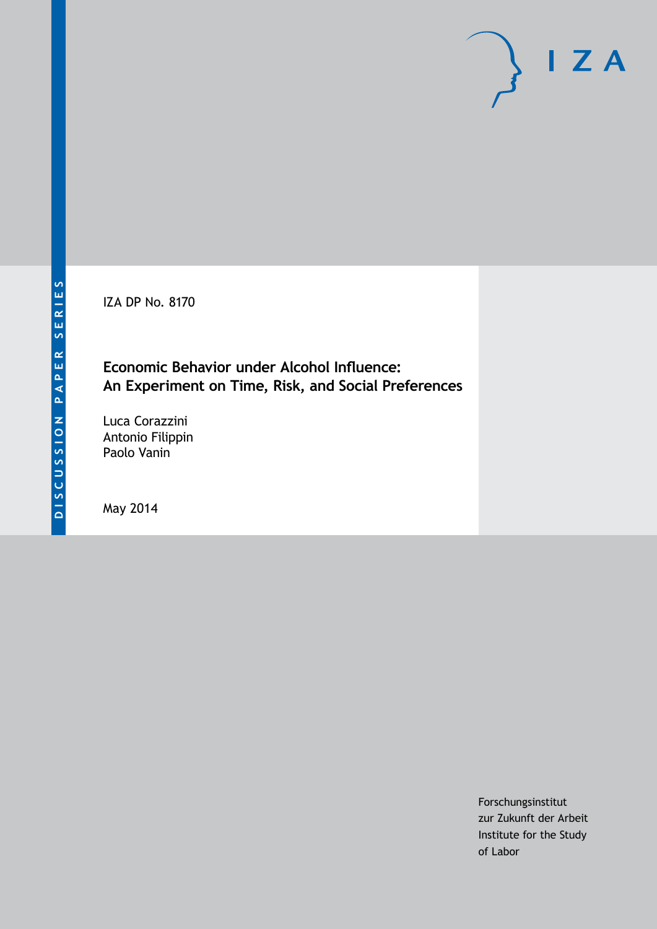IZA DP No. 8170

**Economic Behavior under Alcohol Influence: An Experiment on Time, Risk, and Social Preferences**

Luca Corazzini Antonio Filippin Paolo Vanin

May 2014

Forschungsinstitut zur Zukunft der Arbeit Institute for the Study of Labor

 $I Z A$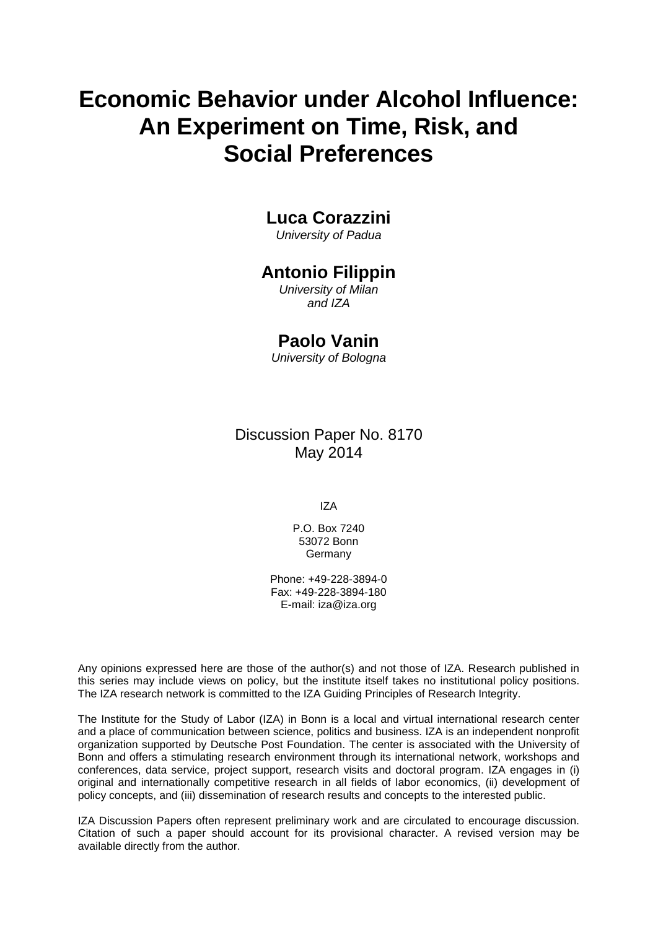# **Economic Behavior under Alcohol Influence: An Experiment on Time, Risk, and Social Preferences**

## **Luca Corazzini**

*University of Padua*

### **Antonio Filippin**

*University of Milan and IZA*

### **Paolo Vanin**

*University of Bologna*

Discussion Paper No. 8170 May 2014

IZA

P.O. Box 7240 53072 Bonn Germany

Phone: +49-228-3894-0 Fax: +49-228-3894-180 E-mail: [iza@iza.org](mailto:iza@iza.org)

Any opinions expressed here are those of the author(s) and not those of IZA. Research published in this series may include views on policy, but the institute itself takes no institutional policy positions. The IZA research network is committed to the IZA Guiding Principles of Research Integrity.

The Institute for the Study of Labor (IZA) in Bonn is a local and virtual international research center and a place of communication between science, politics and business. IZA is an independent nonprofit organization supported by Deutsche Post Foundation. The center is associated with the University of Bonn and offers a stimulating research environment through its international network, workshops and conferences, data service, project support, research visits and doctoral program. IZA engages in (i) original and internationally competitive research in all fields of labor economics, (ii) development of policy concepts, and (iii) dissemination of research results and concepts to the interested public.

<span id="page-1-0"></span>IZA Discussion Papers often represent preliminary work and are circulated to encourage discussion. Citation of such a paper should account for its provisional character. A revised version may be available directly from the author.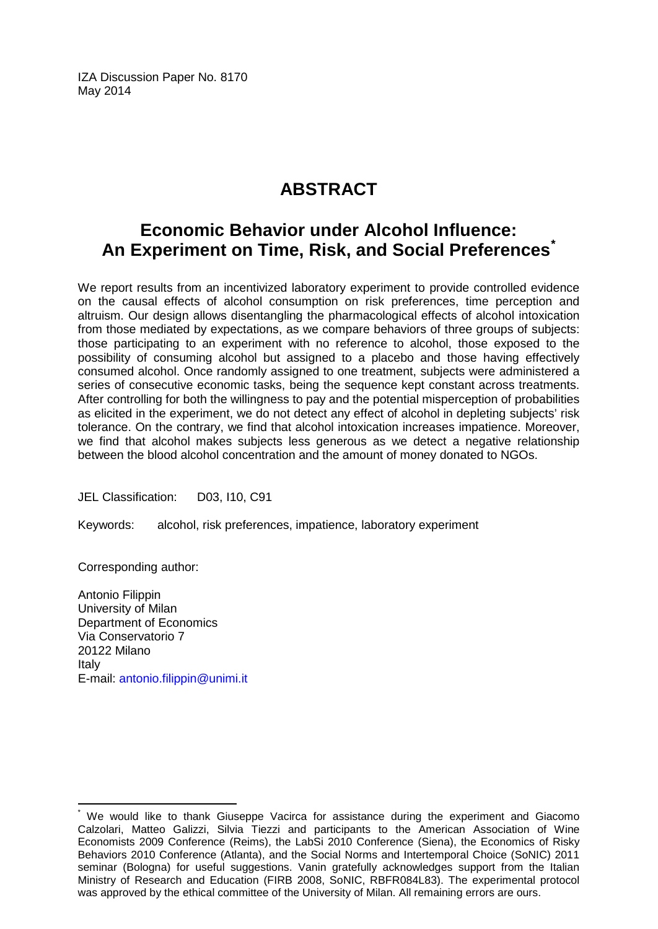IZA Discussion Paper No. 8170 May 2014

## **ABSTRACT**

## **Economic Behavior under Alcohol Influence: An Experiment on Time, Risk, and Social Preferences[\\*](#page-1-0)**

We report results from an incentivized laboratory experiment to provide controlled evidence on the causal effects of alcohol consumption on risk preferences, time perception and altruism. Our design allows disentangling the pharmacological effects of alcohol intoxication from those mediated by expectations, as we compare behaviors of three groups of subjects: those participating to an experiment with no reference to alcohol, those exposed to the possibility of consuming alcohol but assigned to a placebo and those having effectively consumed alcohol. Once randomly assigned to one treatment, subjects were administered a series of consecutive economic tasks, being the sequence kept constant across treatments. After controlling for both the willingness to pay and the potential misperception of probabilities as elicited in the experiment, we do not detect any effect of alcohol in depleting subjects' risk tolerance. On the contrary, we find that alcohol intoxication increases impatience. Moreover, we find that alcohol makes subjects less generous as we detect a negative relationship between the blood alcohol concentration and the amount of money donated to NGOs.

JEL Classification: D03, I10, C91

Keywords: alcohol, risk preferences, impatience, laboratory experiment

Corresponding author:

Antonio Filippin University of Milan Department of Economics Via Conservatorio 7 20122 Milano Italy E-mail: [antonio.filippin@unimi.it](mailto:antonio.filippin@unimi.it)

We would like to thank Giuseppe Vacirca for assistance during the experiment and Giacomo Calzolari, Matteo Galizzi, Silvia Tiezzi and participants to the American Association of Wine Economists 2009 Conference (Reims), the LabSi 2010 Conference (Siena), the Economics of Risky Behaviors 2010 Conference (Atlanta), and the Social Norms and Intertemporal Choice (SoNIC) 2011 seminar (Bologna) for useful suggestions. Vanin gratefully acknowledges support from the Italian Ministry of Research and Education (FIRB 2008, SoNIC, RBFR084L83). The experimental protocol was approved by the ethical committee of the University of Milan. All remaining errors are ours.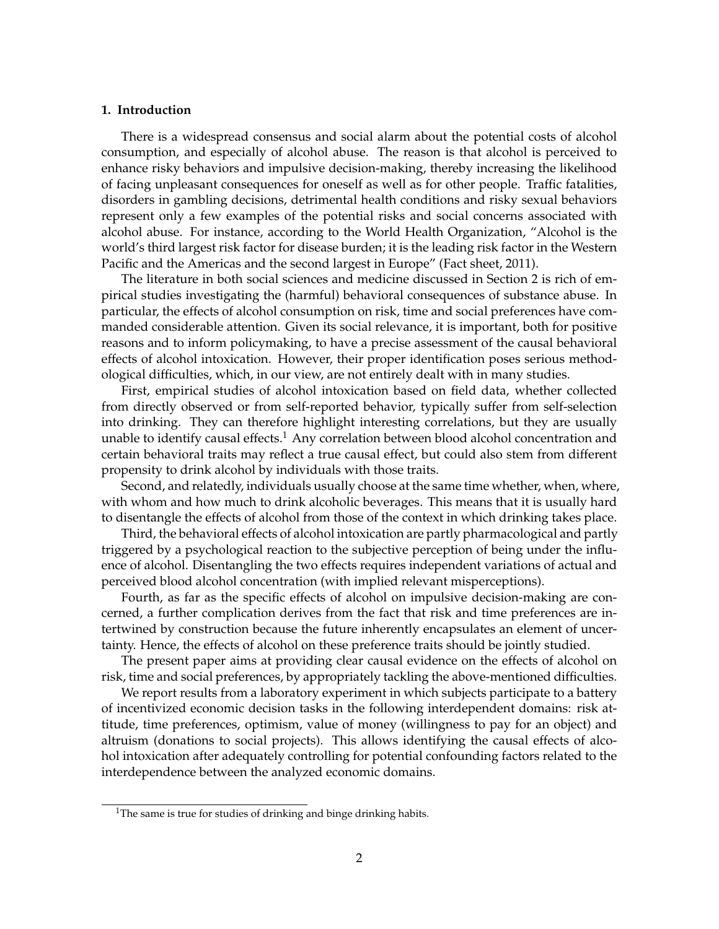#### **1. Introduction**

There is a widespread consensus and social alarm about the potential costs of alcohol consumption, and especially of alcohol abuse. The reason is that alcohol is perceived to enhance risky behaviors and impulsive decision-making, thereby increasing the likelihood of facing unpleasant consequences for oneself as well as for other people. Traffic fatalities, disorders in gambling decisions, detrimental health conditions and risky sexual behaviors represent only a few examples of the potential risks and social concerns associated with alcohol abuse. For instance, according to the World Health Organization, "Alcohol is the world's third largest risk factor for disease burden; it is the leading risk factor in the Western Pacific and the Americas and the second largest in Europe" (Fact sheet, 2011).

The literature in both social sciences and medicine discussed in Section 2 is rich of empirical studies investigating the (harmful) behavioral consequences of substance abuse. In particular, the effects of alcohol consumption on risk, time and social preferences have commanded considerable attention. Given its social relevance, it is important, both for positive reasons and to inform policymaking, to have a precise assessment of the causal behavioral effects of alcohol intoxication. However, their proper identification poses serious methodological difficulties, which, in our view, are not entirely dealt with in many studies.

First, empirical studies of alcohol intoxication based on field data, whether collected from directly observed or from self-reported behavior, typically suffer from self-selection into drinking. They can therefore highlight interesting correlations, but they are usually unable to identify causal effects.<sup>1</sup> Any correlation between blood alcohol concentration and certain behavioral traits may reflect a true causal effect, but could also stem from different propensity to drink alcohol by individuals with those traits.

Second, and relatedly, individuals usually choose at the same time whether, when, where, with whom and how much to drink alcoholic beverages. This means that it is usually hard to disentangle the effects of alcohol from those of the context in which drinking takes place.

Third, the behavioral effects of alcohol intoxication are partly pharmacological and partly triggered by a psychological reaction to the subjective perception of being under the influence of alcohol. Disentangling the two effects requires independent variations of actual and perceived blood alcohol concentration (with implied relevant misperceptions).

Fourth, as far as the specific effects of alcohol on impulsive decision-making are concerned, a further complication derives from the fact that risk and time preferences are intertwined by construction because the future inherently encapsulates an element of uncertainty. Hence, the effects of alcohol on these preference traits should be jointly studied.

The present paper aims at providing clear causal evidence on the effects of alcohol on risk, time and social preferences, by appropriately tackling the above-mentioned difficulties.

We report results from a laboratory experiment in which subjects participate to a battery of incentivized economic decision tasks in the following interdependent domains: risk attitude, time preferences, optimism, value of money (willingness to pay for an object) and altruism (donations to social projects). This allows identifying the causal effects of alcohol intoxication after adequately controlling for potential confounding factors related to the interdependence between the analyzed economic domains.

<sup>&</sup>lt;sup>1</sup>The same is true for studies of drinking and binge drinking habits.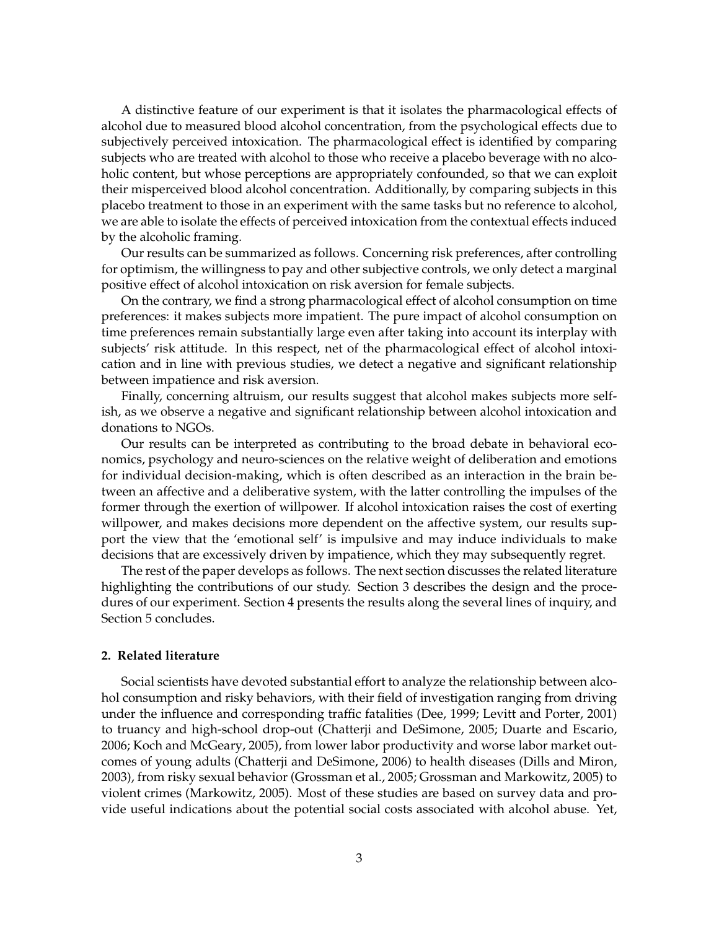A distinctive feature of our experiment is that it isolates the pharmacological effects of alcohol due to measured blood alcohol concentration, from the psychological effects due to subjectively perceived intoxication. The pharmacological effect is identified by comparing subjects who are treated with alcohol to those who receive a placebo beverage with no alcoholic content, but whose perceptions are appropriately confounded, so that we can exploit their misperceived blood alcohol concentration. Additionally, by comparing subjects in this placebo treatment to those in an experiment with the same tasks but no reference to alcohol, we are able to isolate the effects of perceived intoxication from the contextual effects induced by the alcoholic framing.

Our results can be summarized as follows. Concerning risk preferences, after controlling for optimism, the willingness to pay and other subjective controls, we only detect a marginal positive effect of alcohol intoxication on risk aversion for female subjects.

On the contrary, we find a strong pharmacological effect of alcohol consumption on time preferences: it makes subjects more impatient. The pure impact of alcohol consumption on time preferences remain substantially large even after taking into account its interplay with subjects' risk attitude. In this respect, net of the pharmacological effect of alcohol intoxication and in line with previous studies, we detect a negative and significant relationship between impatience and risk aversion.

Finally, concerning altruism, our results suggest that alcohol makes subjects more selfish, as we observe a negative and significant relationship between alcohol intoxication and donations to NGOs.

Our results can be interpreted as contributing to the broad debate in behavioral economics, psychology and neuro-sciences on the relative weight of deliberation and emotions for individual decision-making, which is often described as an interaction in the brain between an affective and a deliberative system, with the latter controlling the impulses of the former through the exertion of willpower. If alcohol intoxication raises the cost of exerting willpower, and makes decisions more dependent on the affective system, our results support the view that the 'emotional self' is impulsive and may induce individuals to make decisions that are excessively driven by impatience, which they may subsequently regret.

The rest of the paper develops as follows. The next section discusses the related literature highlighting the contributions of our study. Section 3 describes the design and the procedures of our experiment. Section 4 presents the results along the several lines of inquiry, and Section 5 concludes.

#### **2. Related literature**

Social scientists have devoted substantial effort to analyze the relationship between alcohol consumption and risky behaviors, with their field of investigation ranging from driving under the influence and corresponding traffic fatalities (Dee, 1999; Levitt and Porter, 2001) to truancy and high-school drop-out (Chatterji and DeSimone, 2005; Duarte and Escario, 2006; Koch and McGeary, 2005), from lower labor productivity and worse labor market outcomes of young adults (Chatterji and DeSimone, 2006) to health diseases (Dills and Miron, 2003), from risky sexual behavior (Grossman et al., 2005; Grossman and Markowitz, 2005) to violent crimes (Markowitz, 2005). Most of these studies are based on survey data and provide useful indications about the potential social costs associated with alcohol abuse. Yet,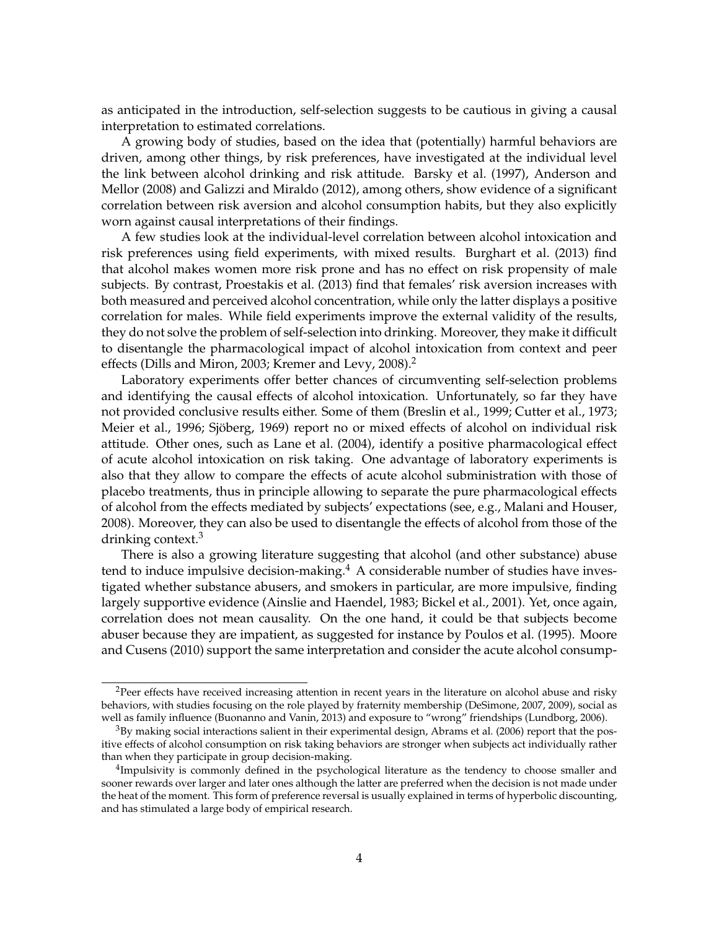as anticipated in the introduction, self-selection suggests to be cautious in giving a causal interpretation to estimated correlations.

A growing body of studies, based on the idea that (potentially) harmful behaviors are driven, among other things, by risk preferences, have investigated at the individual level the link between alcohol drinking and risk attitude. Barsky et al. (1997), Anderson and Mellor (2008) and Galizzi and Miraldo (2012), among others, show evidence of a significant correlation between risk aversion and alcohol consumption habits, but they also explicitly worn against causal interpretations of their findings.

A few studies look at the individual-level correlation between alcohol intoxication and risk preferences using field experiments, with mixed results. Burghart et al. (2013) find that alcohol makes women more risk prone and has no effect on risk propensity of male subjects. By contrast, Proestakis et al. (2013) find that females' risk aversion increases with both measured and perceived alcohol concentration, while only the latter displays a positive correlation for males. While field experiments improve the external validity of the results, they do not solve the problem of self-selection into drinking. Moreover, they make it difficult to disentangle the pharmacological impact of alcohol intoxication from context and peer effects (Dills and Miron, 2003; Kremer and Levy, 2008).<sup>2</sup>

Laboratory experiments offer better chances of circumventing self-selection problems and identifying the causal effects of alcohol intoxication. Unfortunately, so far they have not provided conclusive results either. Some of them (Breslin et al., 1999; Cutter et al., 1973; Meier et al., 1996; Sjöberg, 1969) report no or mixed effects of alcohol on individual risk attitude. Other ones, such as Lane et al. (2004), identify a positive pharmacological effect of acute alcohol intoxication on risk taking. One advantage of laboratory experiments is also that they allow to compare the effects of acute alcohol subministration with those of placebo treatments, thus in principle allowing to separate the pure pharmacological effects of alcohol from the effects mediated by subjects' expectations (see, e.g., Malani and Houser, 2008). Moreover, they can also be used to disentangle the effects of alcohol from those of the drinking context.<sup>3</sup>

There is also a growing literature suggesting that alcohol (and other substance) abuse tend to induce impulsive decision-making.<sup>4</sup> A considerable number of studies have investigated whether substance abusers, and smokers in particular, are more impulsive, finding largely supportive evidence (Ainslie and Haendel, 1983; Bickel et al., 2001). Yet, once again, correlation does not mean causality. On the one hand, it could be that subjects become abuser because they are impatient, as suggested for instance by Poulos et al. (1995). Moore and Cusens (2010) support the same interpretation and consider the acute alcohol consump-

<sup>&</sup>lt;sup>2</sup>Peer effects have received increasing attention in recent years in the literature on alcohol abuse and risky behaviors, with studies focusing on the role played by fraternity membership (DeSimone, 2007, 2009), social as well as family influence (Buonanno and Vanin, 2013) and exposure to "wrong" friendships (Lundborg, 2006).

<sup>3</sup>By making social interactions salient in their experimental design, Abrams et al. (2006) report that the positive effects of alcohol consumption on risk taking behaviors are stronger when subjects act individually rather than when they participate in group decision-making.

<sup>&</sup>lt;sup>4</sup>Impulsivity is commonly defined in the psychological literature as the tendency to choose smaller and sooner rewards over larger and later ones although the latter are preferred when the decision is not made under the heat of the moment. This form of preference reversal is usually explained in terms of hyperbolic discounting, and has stimulated a large body of empirical research.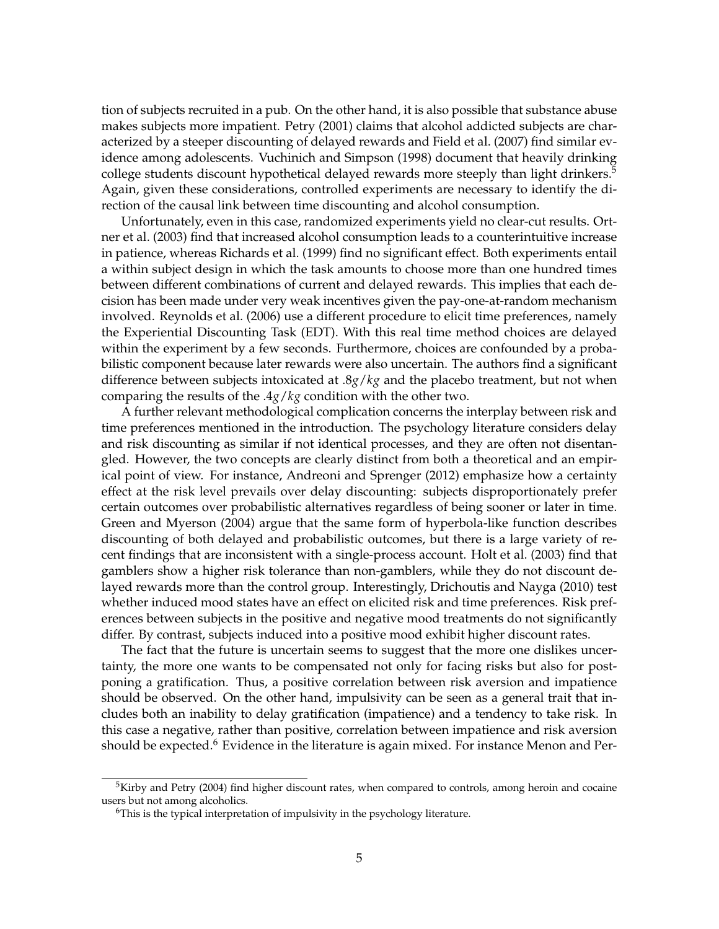tion of subjects recruited in a pub. On the other hand, it is also possible that substance abuse makes subjects more impatient. Petry (2001) claims that alcohol addicted subjects are characterized by a steeper discounting of delayed rewards and Field et al. (2007) find similar evidence among adolescents. Vuchinich and Simpson (1998) document that heavily drinking college students discount hypothetical delayed rewards more steeply than light drinkers.<sup>5</sup> Again, given these considerations, controlled experiments are necessary to identify the direction of the causal link between time discounting and alcohol consumption.

Unfortunately, even in this case, randomized experiments yield no clear-cut results. Ortner et al. (2003) find that increased alcohol consumption leads to a counterintuitive increase in patience, whereas Richards et al. (1999) find no significant effect. Both experiments entail a within subject design in which the task amounts to choose more than one hundred times between different combinations of current and delayed rewards. This implies that each decision has been made under very weak incentives given the pay-one-at-random mechanism involved. Reynolds et al. (2006) use a different procedure to elicit time preferences, namely the Experiential Discounting Task (EDT). With this real time method choices are delayed within the experiment by a few seconds. Furthermore, choices are confounded by a probabilistic component because later rewards were also uncertain. The authors find a significant difference between subjects intoxicated at .8*g*/*kg* and the placebo treatment, but not when comparing the results of the .4*g*/*kg* condition with the other two.

A further relevant methodological complication concerns the interplay between risk and time preferences mentioned in the introduction. The psychology literature considers delay and risk discounting as similar if not identical processes, and they are often not disentangled. However, the two concepts are clearly distinct from both a theoretical and an empirical point of view. For instance, Andreoni and Sprenger (2012) emphasize how a certainty effect at the risk level prevails over delay discounting: subjects disproportionately prefer certain outcomes over probabilistic alternatives regardless of being sooner or later in time. Green and Myerson (2004) argue that the same form of hyperbola-like function describes discounting of both delayed and probabilistic outcomes, but there is a large variety of recent findings that are inconsistent with a single-process account. Holt et al. (2003) find that gamblers show a higher risk tolerance than non-gamblers, while they do not discount delayed rewards more than the control group. Interestingly, Drichoutis and Nayga (2010) test whether induced mood states have an effect on elicited risk and time preferences. Risk preferences between subjects in the positive and negative mood treatments do not significantly differ. By contrast, subjects induced into a positive mood exhibit higher discount rates.

The fact that the future is uncertain seems to suggest that the more one dislikes uncertainty, the more one wants to be compensated not only for facing risks but also for postponing a gratification. Thus, a positive correlation between risk aversion and impatience should be observed. On the other hand, impulsivity can be seen as a general trait that includes both an inability to delay gratification (impatience) and a tendency to take risk. In this case a negative, rather than positive, correlation between impatience and risk aversion should be expected.<sup>6</sup> Evidence in the literature is again mixed. For instance Menon and Per-

<sup>&</sup>lt;sup>5</sup>Kirby and Petry (2004) find higher discount rates, when compared to controls, among heroin and cocaine users but not among alcoholics.

<sup>&</sup>lt;sup>6</sup>This is the typical interpretation of impulsivity in the psychology literature.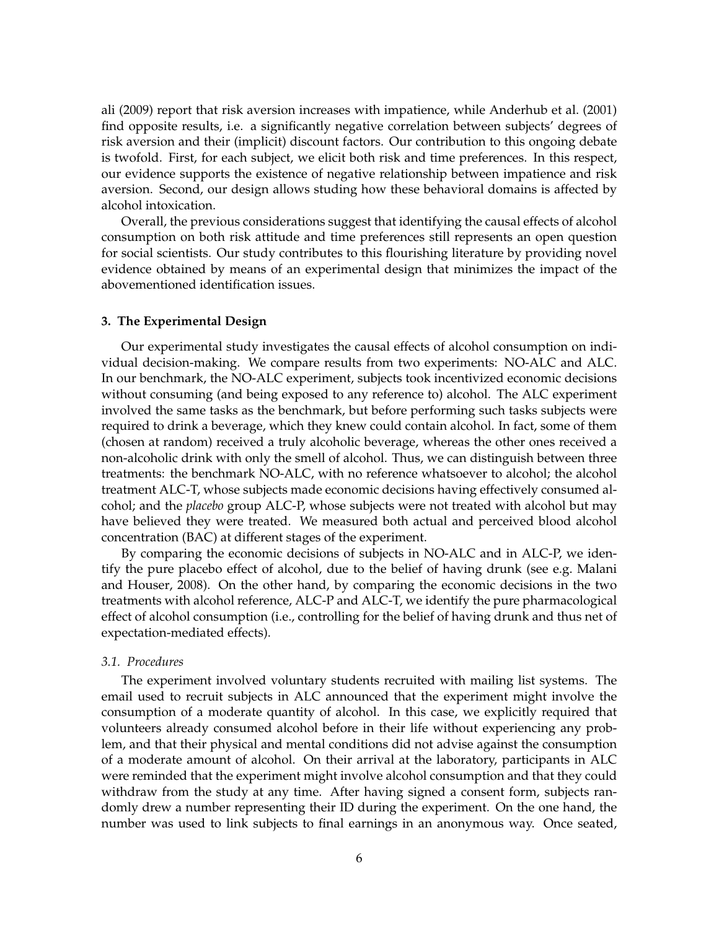ali (2009) report that risk aversion increases with impatience, while Anderhub et al. (2001) find opposite results, i.e. a significantly negative correlation between subjects' degrees of risk aversion and their (implicit) discount factors. Our contribution to this ongoing debate is twofold. First, for each subject, we elicit both risk and time preferences. In this respect, our evidence supports the existence of negative relationship between impatience and risk aversion. Second, our design allows studing how these behavioral domains is affected by alcohol intoxication.

Overall, the previous considerations suggest that identifying the causal effects of alcohol consumption on both risk attitude and time preferences still represents an open question for social scientists. Our study contributes to this flourishing literature by providing novel evidence obtained by means of an experimental design that minimizes the impact of the abovementioned identification issues.

#### **3. The Experimental Design**

Our experimental study investigates the causal effects of alcohol consumption on individual decision-making. We compare results from two experiments: NO-ALC and ALC. In our benchmark, the NO-ALC experiment, subjects took incentivized economic decisions without consuming (and being exposed to any reference to) alcohol. The ALC experiment involved the same tasks as the benchmark, but before performing such tasks subjects were required to drink a beverage, which they knew could contain alcohol. In fact, some of them (chosen at random) received a truly alcoholic beverage, whereas the other ones received a non-alcoholic drink with only the smell of alcohol. Thus, we can distinguish between three treatments: the benchmark NO-ALC, with no reference whatsoever to alcohol; the alcohol treatment ALC-T, whose subjects made economic decisions having effectively consumed alcohol; and the *placebo* group ALC-P, whose subjects were not treated with alcohol but may have believed they were treated. We measured both actual and perceived blood alcohol concentration (BAC) at different stages of the experiment.

By comparing the economic decisions of subjects in NO-ALC and in ALC-P, we identify the pure placebo effect of alcohol, due to the belief of having drunk (see e.g. Malani and Houser, 2008). On the other hand, by comparing the economic decisions in the two treatments with alcohol reference, ALC-P and ALC-T, we identify the pure pharmacological effect of alcohol consumption (i.e., controlling for the belief of having drunk and thus net of expectation-mediated effects).

#### *3.1. Procedures*

The experiment involved voluntary students recruited with mailing list systems. The email used to recruit subjects in ALC announced that the experiment might involve the consumption of a moderate quantity of alcohol. In this case, we explicitly required that volunteers already consumed alcohol before in their life without experiencing any problem, and that their physical and mental conditions did not advise against the consumption of a moderate amount of alcohol. On their arrival at the laboratory, participants in ALC were reminded that the experiment might involve alcohol consumption and that they could withdraw from the study at any time. After having signed a consent form, subjects randomly drew a number representing their ID during the experiment. On the one hand, the number was used to link subjects to final earnings in an anonymous way. Once seated,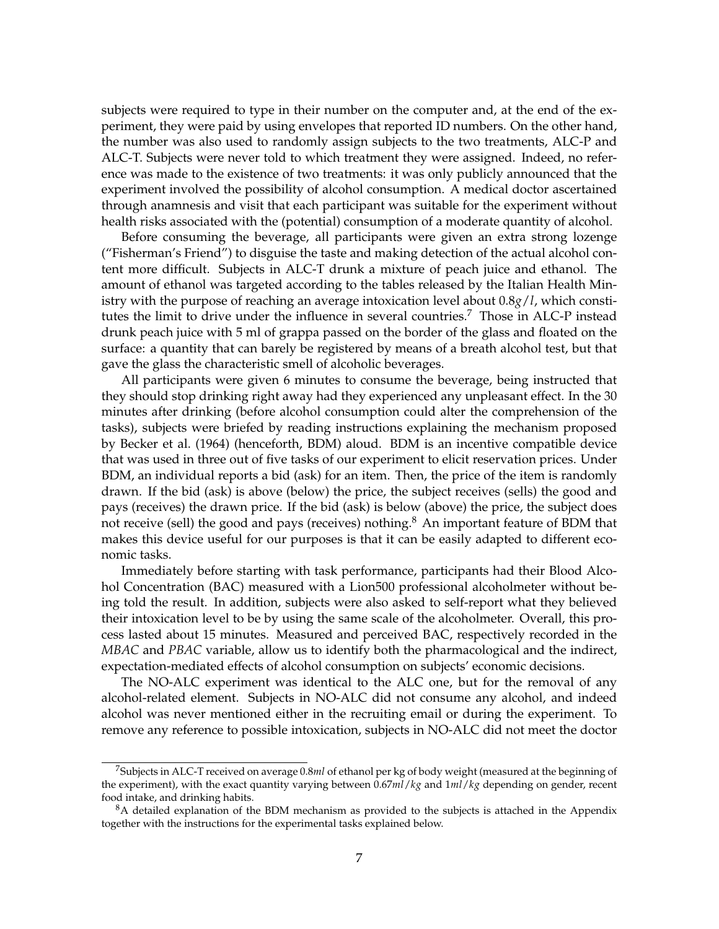subjects were required to type in their number on the computer and, at the end of the experiment, they were paid by using envelopes that reported ID numbers. On the other hand, the number was also used to randomly assign subjects to the two treatments, ALC-P and ALC-T. Subjects were never told to which treatment they were assigned. Indeed, no reference was made to the existence of two treatments: it was only publicly announced that the experiment involved the possibility of alcohol consumption. A medical doctor ascertained through anamnesis and visit that each participant was suitable for the experiment without health risks associated with the (potential) consumption of a moderate quantity of alcohol.

Before consuming the beverage, all participants were given an extra strong lozenge ("Fisherman's Friend") to disguise the taste and making detection of the actual alcohol content more difficult. Subjects in ALC-T drunk a mixture of peach juice and ethanol. The amount of ethanol was targeted according to the tables released by the Italian Health Ministry with the purpose of reaching an average intoxication level about 0.8*g*/*l*, which constitutes the limit to drive under the influence in several countries.<sup>7</sup> Those in ALC-P instead drunk peach juice with 5 ml of grappa passed on the border of the glass and floated on the surface: a quantity that can barely be registered by means of a breath alcohol test, but that gave the glass the characteristic smell of alcoholic beverages.

All participants were given 6 minutes to consume the beverage, being instructed that they should stop drinking right away had they experienced any unpleasant effect. In the 30 minutes after drinking (before alcohol consumption could alter the comprehension of the tasks), subjects were briefed by reading instructions explaining the mechanism proposed by Becker et al. (1964) (henceforth, BDM) aloud. BDM is an incentive compatible device that was used in three out of five tasks of our experiment to elicit reservation prices. Under BDM, an individual reports a bid (ask) for an item. Then, the price of the item is randomly drawn. If the bid (ask) is above (below) the price, the subject receives (sells) the good and pays (receives) the drawn price. If the bid (ask) is below (above) the price, the subject does not receive (sell) the good and pays (receives) nothing.<sup>8</sup> An important feature of BDM that makes this device useful for our purposes is that it can be easily adapted to different economic tasks.

Immediately before starting with task performance, participants had their Blood Alcohol Concentration (BAC) measured with a Lion500 professional alcoholmeter without being told the result. In addition, subjects were also asked to self-report what they believed their intoxication level to be by using the same scale of the alcoholmeter. Overall, this process lasted about 15 minutes. Measured and perceived BAC, respectively recorded in the *MBAC* and *PBAC* variable, allow us to identify both the pharmacological and the indirect, expectation-mediated effects of alcohol consumption on subjects' economic decisions.

The NO-ALC experiment was identical to the ALC one, but for the removal of any alcohol-related element. Subjects in NO-ALC did not consume any alcohol, and indeed alcohol was never mentioned either in the recruiting email or during the experiment. To remove any reference to possible intoxication, subjects in NO-ALC did not meet the doctor

<sup>7</sup>Subjects in ALC-T received on average 0.8*ml* of ethanol per kg of body weight (measured at the beginning of the experiment), with the exact quantity varying between 0.67*ml*/*kg* and 1*ml*/*kg* depending on gender, recent food intake, and drinking habits.

<sup>&</sup>lt;sup>8</sup>A detailed explanation of the BDM mechanism as provided to the subjects is attached in the Appendix together with the instructions for the experimental tasks explained below.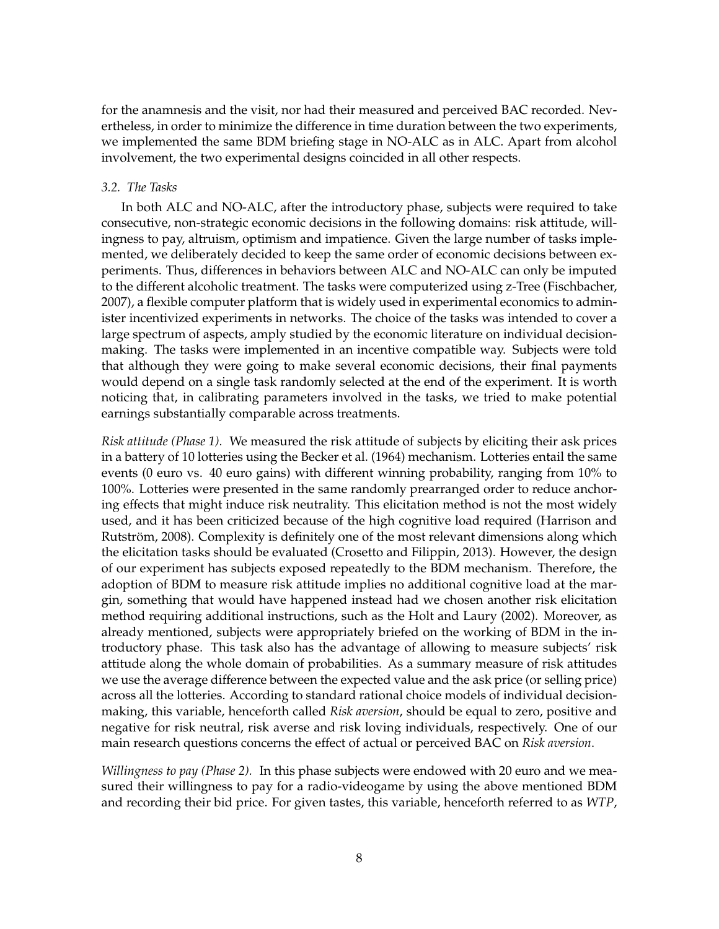for the anamnesis and the visit, nor had their measured and perceived BAC recorded. Nevertheless, in order to minimize the difference in time duration between the two experiments, we implemented the same BDM briefing stage in NO-ALC as in ALC. Apart from alcohol involvement, the two experimental designs coincided in all other respects.

#### *3.2. The Tasks*

In both ALC and NO-ALC, after the introductory phase, subjects were required to take consecutive, non-strategic economic decisions in the following domains: risk attitude, willingness to pay, altruism, optimism and impatience. Given the large number of tasks implemented, we deliberately decided to keep the same order of economic decisions between experiments. Thus, differences in behaviors between ALC and NO-ALC can only be imputed to the different alcoholic treatment. The tasks were computerized using z-Tree (Fischbacher, 2007), a flexible computer platform that is widely used in experimental economics to administer incentivized experiments in networks. The choice of the tasks was intended to cover a large spectrum of aspects, amply studied by the economic literature on individual decisionmaking. The tasks were implemented in an incentive compatible way. Subjects were told that although they were going to make several economic decisions, their final payments would depend on a single task randomly selected at the end of the experiment. It is worth noticing that, in calibrating parameters involved in the tasks, we tried to make potential earnings substantially comparable across treatments.

*Risk attitude (Phase 1).* We measured the risk attitude of subjects by eliciting their ask prices in a battery of 10 lotteries using the Becker et al. (1964) mechanism. Lotteries entail the same events (0 euro vs. 40 euro gains) with different winning probability, ranging from 10% to 100%. Lotteries were presented in the same randomly prearranged order to reduce anchoring effects that might induce risk neutrality. This elicitation method is not the most widely used, and it has been criticized because of the high cognitive load required (Harrison and Rutström, 2008). Complexity is definitely one of the most relevant dimensions along which the elicitation tasks should be evaluated (Crosetto and Filippin, 2013). However, the design of our experiment has subjects exposed repeatedly to the BDM mechanism. Therefore, the adoption of BDM to measure risk attitude implies no additional cognitive load at the margin, something that would have happened instead had we chosen another risk elicitation method requiring additional instructions, such as the Holt and Laury (2002). Moreover, as already mentioned, subjects were appropriately briefed on the working of BDM in the introductory phase. This task also has the advantage of allowing to measure subjects' risk attitude along the whole domain of probabilities. As a summary measure of risk attitudes we use the average difference between the expected value and the ask price (or selling price) across all the lotteries. According to standard rational choice models of individual decisionmaking, this variable, henceforth called *Risk aversion*, should be equal to zero, positive and negative for risk neutral, risk averse and risk loving individuals, respectively. One of our main research questions concerns the effect of actual or perceived BAC on *Risk aversion*.

*Willingness to pay (Phase 2).* In this phase subjects were endowed with 20 euro and we measured their willingness to pay for a radio-videogame by using the above mentioned BDM and recording their bid price. For given tastes, this variable, henceforth referred to as *WTP*,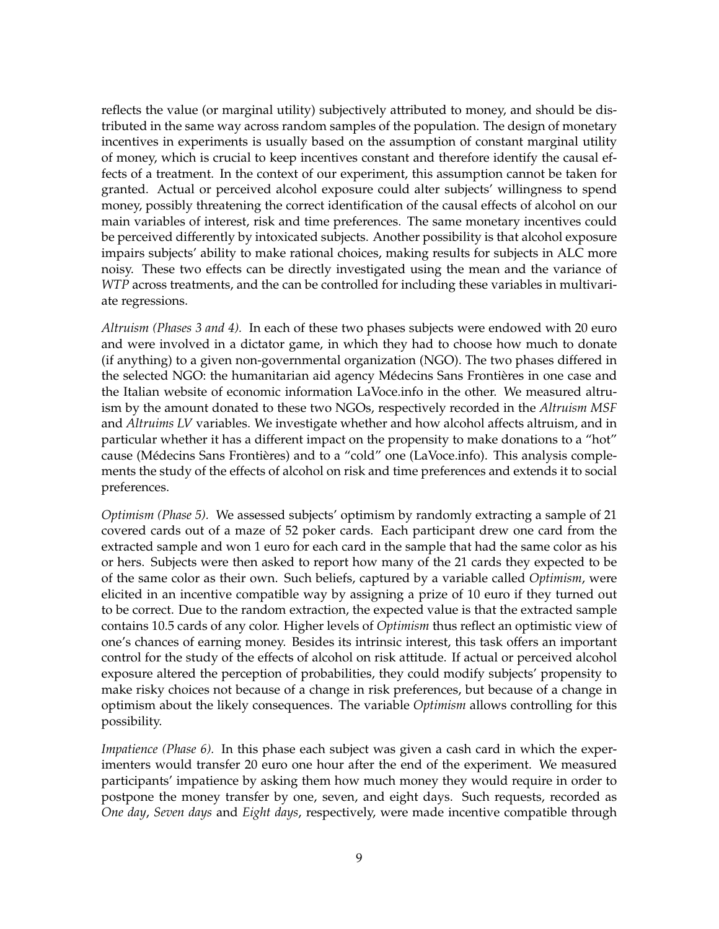reflects the value (or marginal utility) subjectively attributed to money, and should be distributed in the same way across random samples of the population. The design of monetary incentives in experiments is usually based on the assumption of constant marginal utility of money, which is crucial to keep incentives constant and therefore identify the causal effects of a treatment. In the context of our experiment, this assumption cannot be taken for granted. Actual or perceived alcohol exposure could alter subjects' willingness to spend money, possibly threatening the correct identification of the causal effects of alcohol on our main variables of interest, risk and time preferences. The same monetary incentives could be perceived differently by intoxicated subjects. Another possibility is that alcohol exposure impairs subjects' ability to make rational choices, making results for subjects in ALC more noisy. These two effects can be directly investigated using the mean and the variance of *WTP* across treatments, and the can be controlled for including these variables in multivariate regressions.

*Altruism (Phases 3 and 4).* In each of these two phases subjects were endowed with 20 euro and were involved in a dictator game, in which they had to choose how much to donate (if anything) to a given non-governmental organization (NGO). The two phases differed in the selected NGO: the humanitarian aid agency Médecins Sans Frontières in one case and the Italian website of economic information LaVoce.info in the other. We measured altruism by the amount donated to these two NGOs, respectively recorded in the *Altruism MSF* and *Altruims LV* variables. We investigate whether and how alcohol affects altruism, and in particular whether it has a different impact on the propensity to make donations to a "hot" cause (Médecins Sans Frontières) and to a "cold" one (LaVoce.info). This analysis complements the study of the effects of alcohol on risk and time preferences and extends it to social preferences.

*Optimism (Phase 5).* We assessed subjects' optimism by randomly extracting a sample of 21 covered cards out of a maze of 52 poker cards. Each participant drew one card from the extracted sample and won 1 euro for each card in the sample that had the same color as his or hers. Subjects were then asked to report how many of the 21 cards they expected to be of the same color as their own. Such beliefs, captured by a variable called *Optimism*, were elicited in an incentive compatible way by assigning a prize of 10 euro if they turned out to be correct. Due to the random extraction, the expected value is that the extracted sample contains 10.5 cards of any color. Higher levels of *Optimism* thus reflect an optimistic view of one's chances of earning money. Besides its intrinsic interest, this task offers an important control for the study of the effects of alcohol on risk attitude. If actual or perceived alcohol exposure altered the perception of probabilities, they could modify subjects' propensity to make risky choices not because of a change in risk preferences, but because of a change in optimism about the likely consequences. The variable *Optimism* allows controlling for this possibility.

*Impatience (Phase 6).* In this phase each subject was given a cash card in which the experimenters would transfer 20 euro one hour after the end of the experiment. We measured participants' impatience by asking them how much money they would require in order to postpone the money transfer by one, seven, and eight days. Such requests, recorded as *One day*, *Seven days* and *Eight days*, respectively, were made incentive compatible through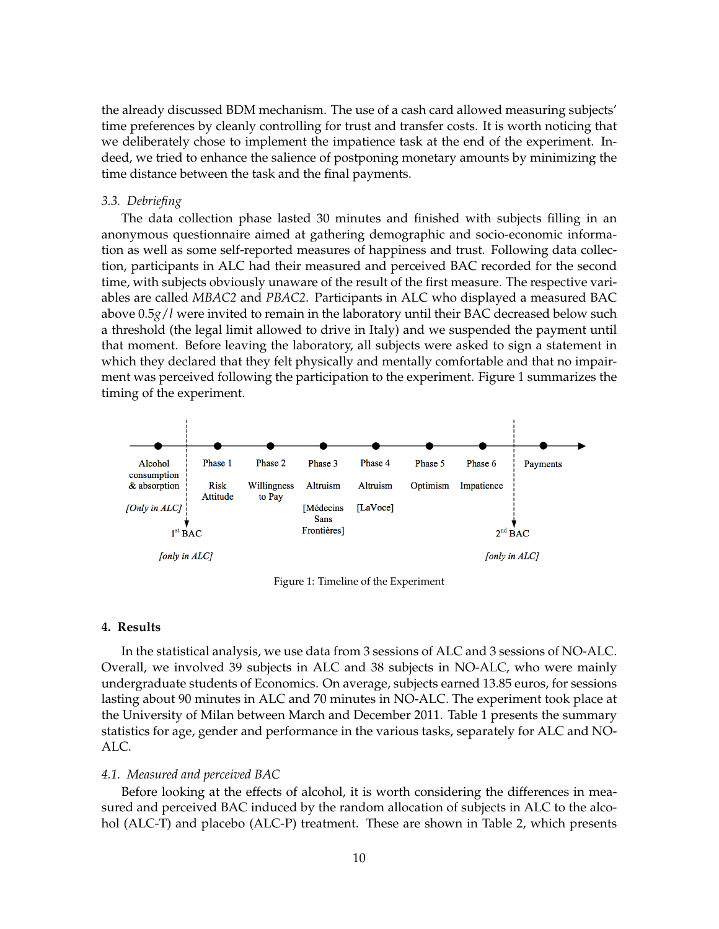the already discussed BDM mechanism. The use of a cash card allowed measuring subjects' time preferences by cleanly controlling for trust and transfer costs. It is worth noticing that we deliberately chose to implement the impatience task at the end of the experiment. Indeed, we tried to enhance the salience of postponing monetary amounts by minimizing the time distance between the task and the final payments.

#### *3.3. Debriefing*

The data collection phase lasted 30 minutes and finished with subjects filling in an anonymous questionnaire aimed at gathering demographic and socio-economic information as well as some self-reported measures of happiness and trust. Following data collection, participants in ALC had their measured and perceived BAC recorded for the second time, with subjects obviously unaware of the result of the first measure. The respective variables are called *MBAC2* and *PBAC2*. Participants in ALC who displayed a measured BAC above 0.5*g*/*l* were invited to remain in the laboratory until their BAC decreased below such a threshold (the legal limit allowed to drive in Italy) and we suspended the payment until that moment. Before leaving the laboratory, all subjects were asked to sign a statement in which they declared that they felt physically and mentally comfortable and that no impairment was perceived following the participation to the experiment. Figure 1 summarizes the timing of the experiment.



Figure 1: Timeline of the Experiment

#### **4. Results**

In the statistical analysis, we use data from 3 sessions of ALC and 3 sessions of NO-ALC. Overall, we involved 39 subjects in ALC and 38 subjects in NO-ALC, who were mainly undergraduate students of Economics. On average, subjects earned 13.85 euros, for sessions lasting about 90 minutes in ALC and 70 minutes in NO-ALC. The experiment took place at the University of Milan between March and December 2011. Table 1 presents the summary statistics for age, gender and performance in the various tasks, separately for ALC and NO-ALC.

#### *4.1. Measured and perceived BAC*

Before looking at the effects of alcohol, it is worth considering the differences in measured and perceived BAC induced by the random allocation of subjects in ALC to the alcohol (ALC-T) and placebo (ALC-P) treatment. These are shown in Table 2, which presents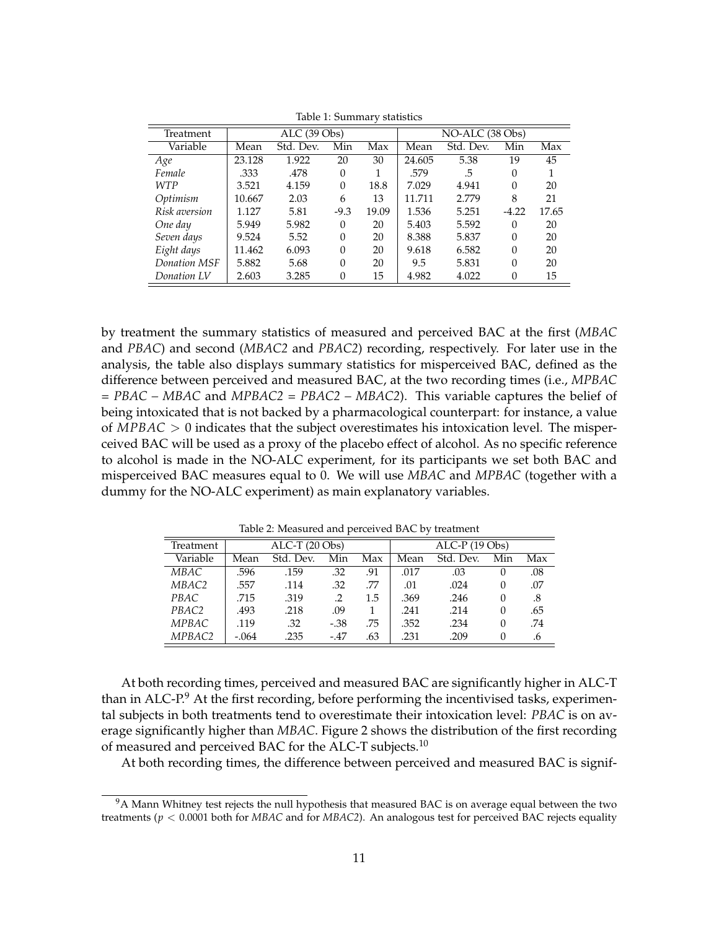|               |                |           |          | ┙     |                 |           |          |       |
|---------------|----------------|-----------|----------|-------|-----------------|-----------|----------|-------|
| Treatment     | $ALC$ (39 Obs) |           |          |       | NO-ALC (38 Obs) |           |          |       |
| Variable      | Mean           | Std. Dev. | Min      | Max   | Mean            | Std. Dev. | Min      | Max   |
| Age           | 23.128         | 1.922     | 20       | 30    | 24.605          | 5.38      | 19       | 45    |
| Female        | .333           | .478      | 0        | 1     | .579            | .5        | $\Omega$ |       |
| <b>WTP</b>    | 3.521          | 4.159     | $\theta$ | 18.8  | 7.029           | 4.941     | $\Omega$ | 20    |
| Optimism      | 10.667         | 2.03      | 6        | 13    | 11.711          | 2.779     | 8        | 21    |
| Risk aversion | 1.127          | 5.81      | $-9.3$   | 19.09 | 1.536           | 5.251     | $-4.22$  | 17.65 |
| One day       | 5.949          | 5.982     | $\Omega$ | 20    | 5.403           | 5.592     | $\Omega$ | 20    |
| Seven days    | 9.524          | 5.52      | $\theta$ | 20    | 8.388           | 5.837     | 0        | 20    |
| Eight days    | 11.462         | 6.093     | $\Omega$ | 20    | 9.618           | 6.582     | $\Omega$ | 20    |
| Donation MSF  | 5.882          | 5.68      | $\Omega$ | 20    | 9.5             | 5.831     | $\Omega$ | 20    |
| Donation LV   | 2.603          | 3.285     | 0        | 15    | 4.982           | 4.022     |          | 15    |

Table 1: Summary statistics

by treatment the summary statistics of measured and perceived BAC at the first (*MBAC* and *PBAC*) and second (*MBAC2* and *PBAC2*) recording, respectively. For later use in the analysis, the table also displays summary statistics for misperceived BAC, defined as the difference between perceived and measured BAC, at the two recording times (i.e., *MPBAC = PBAC – MBAC* and *MPBAC2 = PBAC2 – MBAC2*). This variable captures the belief of being intoxicated that is not backed by a pharmacological counterpart: for instance, a value of *MPBAC* > 0 indicates that the subject overestimates his intoxication level. The misperceived BAC will be used as a proxy of the placebo effect of alcohol. As no specific reference to alcohol is made in the NO-ALC experiment, for its participants we set both BAC and misperceived BAC measures equal to 0. We will use *MBAC* and *MPBAC* (together with a dummy for the NO-ALC experiment) as main explanatory variables.

| $10010 = 111000$ and $1000 = 1000$ and $1000 = 1000$ |                  |           |        |     |      |                 |          |     |
|------------------------------------------------------|------------------|-----------|--------|-----|------|-----------------|----------|-----|
| Treatment                                            | $ALC-T (20 Obs)$ |           |        |     |      | $ALC-P (19Obs)$ |          |     |
| Variable                                             | Mean             | Std. Dev. | Min    | Max | Mean | Std. Dev.       | Min      | Max |
| MBAC                                                 | .596             | .159      | .32    | .91 | .017 | .03             | $\theta$ | .08 |
| MBAC2                                                | .557             | .114      | .32    | .77 | .01  | .024            | 0        | .07 |
| PBAC                                                 | .715             | .319      | .2     | 1.5 | .369 | .246            | 0        | .8  |
| PBAC2                                                | .493             | .218      | .09    |     | .241 | .214            | 0        | .65 |
| <b>MPBAC</b>                                         | .119             | .32       | $-.38$ | .75 | .352 | .234            | 0        | .74 |
| MPBAC2                                               | $-.064$          | .235      | $-.47$ | .63 | .231 | .209            |          | .6  |

Table 2: Measured and perceived BAC by treatment

At both recording times, perceived and measured BAC are significantly higher in ALC-T than in ALC-P. $9$  At the first recording, before performing the incentivised tasks, experimental subjects in both treatments tend to overestimate their intoxication level: *PBAC* is on average significantly higher than *MBAC*. Figure 2 shows the distribution of the first recording of measured and perceived BAC for the ALC-T subjects.<sup>10</sup>

At both recording times, the difference between perceived and measured BAC is signif-

 $9A$  Mann Whitney test rejects the null hypothesis that measured BAC is on average equal between the two treatments (*p* < 0.0001 both for *MBAC* and for *MBAC2*). An analogous test for perceived BAC rejects equality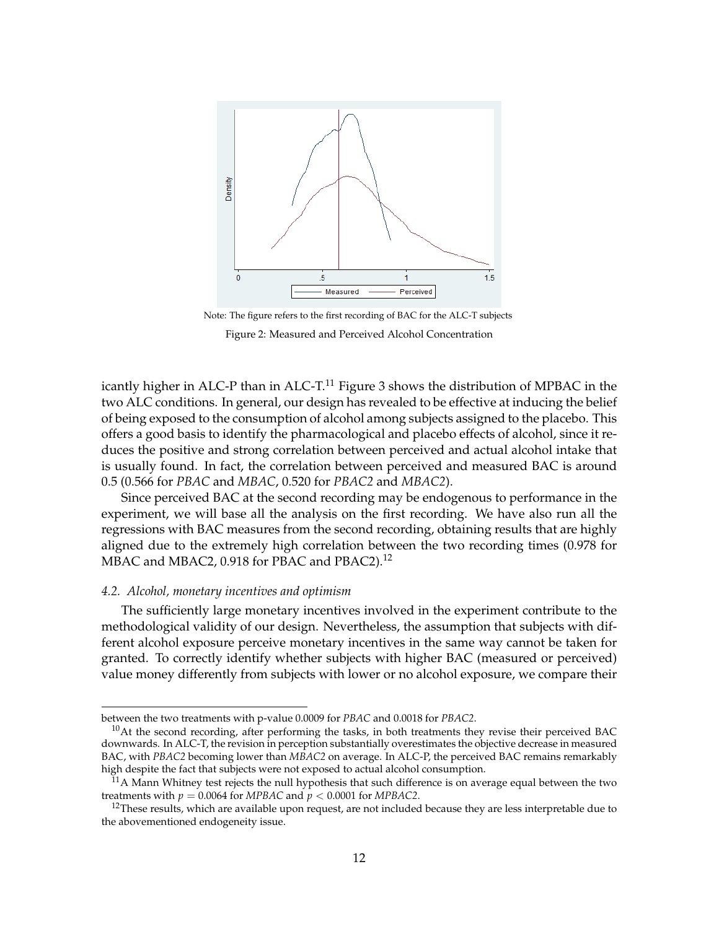

Note: The figure refers to the first recording of BAC for the ALC-T subjects Figure 2: Measured and Perceived Alcohol Concentration

icantly higher in ALC-P than in ALC-T.<sup>11</sup> Figure 3 shows the distribution of MPBAC in the two ALC conditions. In general, our design has revealed to be effective at inducing the belief of being exposed to the consumption of alcohol among subjects assigned to the placebo. This offers a good basis to identify the pharmacological and placebo effects of alcohol, since it reduces the positive and strong correlation between perceived and actual alcohol intake that is usually found. In fact, the correlation between perceived and measured BAC is around 0.5 (0.566 for *PBAC* and *MBAC*, 0.520 for *PBAC2* and *MBAC2*).

Since perceived BAC at the second recording may be endogenous to performance in the experiment, we will base all the analysis on the first recording. We have also run all the regressions with BAC measures from the second recording, obtaining results that are highly aligned due to the extremely high correlation between the two recording times (0.978 for MBAC and MBAC2, 0.918 for PBAC and PBAC2).<sup>12</sup>

#### *4.2. Alcohol, monetary incentives and optimism*

The sufficiently large monetary incentives involved in the experiment contribute to the methodological validity of our design. Nevertheless, the assumption that subjects with different alcohol exposure perceive monetary incentives in the same way cannot be taken for granted. To correctly identify whether subjects with higher BAC (measured or perceived) value money differently from subjects with lower or no alcohol exposure, we compare their

between the two treatments with p-value 0.0009 for *PBAC* and 0.0018 for *PBAC2*.

 $10$ At the second recording, after performing the tasks, in both treatments they revise their perceived BAC downwards. In ALC-T, the revision in perception substantially overestimates the objective decrease in measured BAC, with *PBAC2* becoming lower than *MBAC2* on average. In ALC-P, the perceived BAC remains remarkably high despite the fact that subjects were not exposed to actual alcohol consumption.

 $^{11}$ A Mann Whitney test rejects the null hypothesis that such difference is on average equal between the two treatments with  $p = 0.0064$  for *MPBAC* and  $p < 0.0001$  for *MPBAC*2.

 $12$ These results, which are available upon request, are not included because they are less interpretable due to the abovementioned endogeneity issue.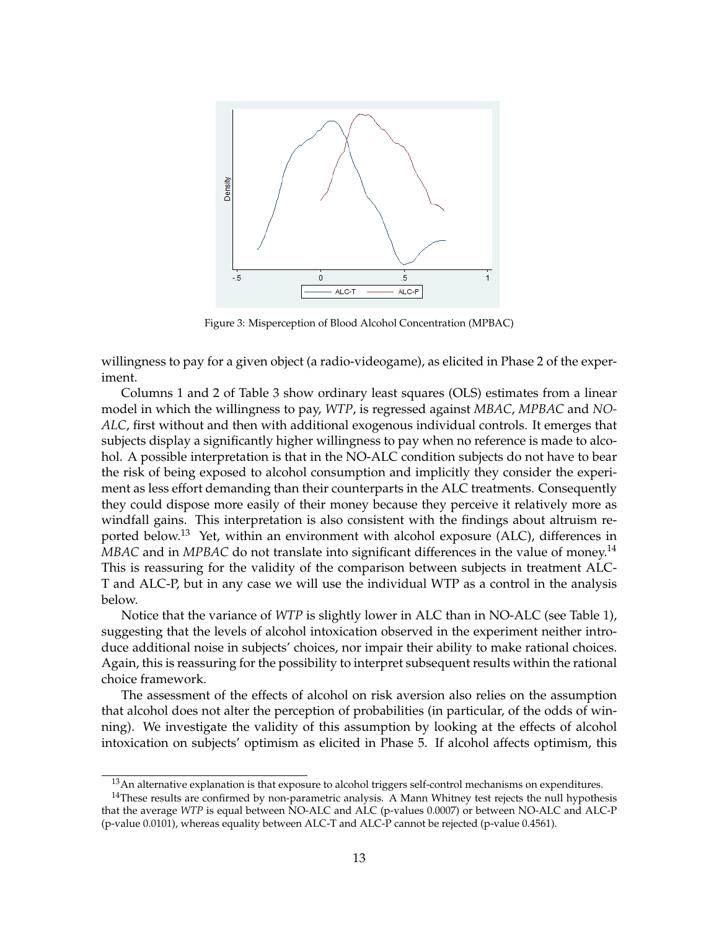

Figure 3: Misperception of Blood Alcohol Concentration (MPBAC)

willingness to pay for a given object (a radio-videogame), as elicited in Phase 2 of the experiment.

Columns 1 and 2 of Table 3 show ordinary least squares (OLS) estimates from a linear model in which the willingness to pay, *WTP*, is regressed against *MBAC*, *MPBAC* and *NO-ALC*, first without and then with additional exogenous individual controls. It emerges that subjects display a significantly higher willingness to pay when no reference is made to alcohol. A possible interpretation is that in the NO-ALC condition subjects do not have to bear the risk of being exposed to alcohol consumption and implicitly they consider the experiment as less effort demanding than their counterparts in the ALC treatments. Consequently they could dispose more easily of their money because they perceive it relatively more as windfall gains. This interpretation is also consistent with the findings about altruism reported below.<sup>13</sup> Yet, within an environment with alcohol exposure (ALC), differences in *MBAC* and in *MPBAC* do not translate into significant differences in the value of money.<sup>14</sup> This is reassuring for the validity of the comparison between subjects in treatment ALC-T and ALC-P, but in any case we will use the individual WTP as a control in the analysis below.

Notice that the variance of *WTP* is slightly lower in ALC than in NO-ALC (see Table 1), suggesting that the levels of alcohol intoxication observed in the experiment neither introduce additional noise in subjects' choices, nor impair their ability to make rational choices. Again, this is reassuring for the possibility to interpret subsequent results within the rational choice framework.

The assessment of the effects of alcohol on risk aversion also relies on the assumption that alcohol does not alter the perception of probabilities (in particular, of the odds of winning). We investigate the validity of this assumption by looking at the effects of alcohol intoxication on subjects' optimism as elicited in Phase 5. If alcohol affects optimism, this

<sup>&</sup>lt;sup>13</sup> An alternative explanation is that exposure to alcohol triggers self-control mechanisms on expenditures.

 $14$ These results are confirmed by non-parametric analysis. A Mann Whitney test rejects the null hypothesis that the average *WTP* is equal between NO-ALC and ALC (p-values 0.0007) or between NO-ALC and ALC-P (p-value 0.0101), whereas equality between ALC-T and ALC-P cannot be rejected (p-value 0.4561).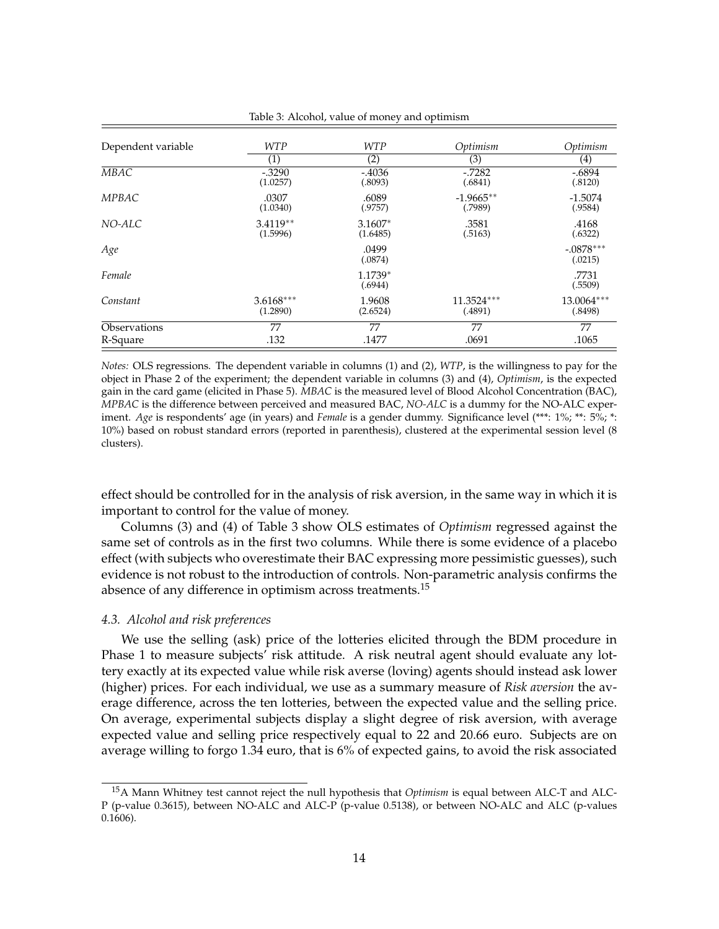| Dependent variable | <b>WTP</b>              | <b>WTP</b>            | Optimism               | Optimism               |
|--------------------|-------------------------|-----------------------|------------------------|------------------------|
|                    | $\left( 1\right)$       | (2)                   | (3)                    | $\left( 4\right)$      |
| <b>MBAC</b>        | $-.3290$<br>(1.0257)    | $-0.4036$<br>(.8093)  | $-.7282$<br>(.6841)    | $-.6894$<br>(.8120)    |
| MPBAC              | .0307<br>(1.0340)       | .6089<br>(.9757)      | $-1.9665**$<br>(.7989) | $-1.5074$<br>(.9584)   |
| NO-ALC             | $3.4119**$<br>(1.5996)  | $3.1607*$<br>(1.6485) | .3581<br>(.5163)       | .4168<br>(.6322)       |
| Age                |                         | .0499<br>(.0874)      |                        | $-.0878***$<br>(.0215) |
| Female             |                         | 1.1739*<br>(.6944)    |                        | .7731<br>(.5509)       |
| Constant           | $3.6168***$<br>(1.2890) | 1.9608<br>(2.6524)    | 11.3524***<br>(.4891)  | 13.0064***<br>(.8498)  |
| Observations       | 77                      | 77                    | 77                     | 77                     |
| R-Square           | .132                    | .1477                 | .0691                  | .1065                  |

Table 3: Alcohol, value of money and optimism

*Notes:* OLS regressions. The dependent variable in columns (1) and (2), *WTP*, is the willingness to pay for the object in Phase 2 of the experiment; the dependent variable in columns (3) and (4), *Optimism*, is the expected gain in the card game (elicited in Phase 5). *MBAC* is the measured level of Blood Alcohol Concentration (BAC), *MPBAC* is the difference between perceived and measured BAC, *NO-ALC* is a dummy for the NO-ALC experiment. *Age* is respondents' age (in years) and *Female* is a gender dummy. Significance level (\*\*\*: 1%; \*\*: 5%; \*: 10%) based on robust standard errors (reported in parenthesis), clustered at the experimental session level (8 clusters).

effect should be controlled for in the analysis of risk aversion, in the same way in which it is important to control for the value of money.

Columns (3) and (4) of Table 3 show OLS estimates of *Optimism* regressed against the same set of controls as in the first two columns. While there is some evidence of a placebo effect (with subjects who overestimate their BAC expressing more pessimistic guesses), such evidence is not robust to the introduction of controls. Non-parametric analysis confirms the absence of any difference in optimism across treatments.<sup>15</sup>

#### *4.3. Alcohol and risk preferences*

We use the selling (ask) price of the lotteries elicited through the BDM procedure in Phase 1 to measure subjects' risk attitude. A risk neutral agent should evaluate any lottery exactly at its expected value while risk averse (loving) agents should instead ask lower (higher) prices. For each individual, we use as a summary measure of *Risk aversion* the average difference, across the ten lotteries, between the expected value and the selling price. On average, experimental subjects display a slight degree of risk aversion, with average expected value and selling price respectively equal to 22 and 20.66 euro. Subjects are on average willing to forgo 1.34 euro, that is 6% of expected gains, to avoid the risk associated

<sup>15</sup>A Mann Whitney test cannot reject the null hypothesis that *Optimism* is equal between ALC-T and ALC-P (p-value 0.3615), between NO-ALC and ALC-P (p-value 0.5138), or between NO-ALC and ALC (p-values 0.1606).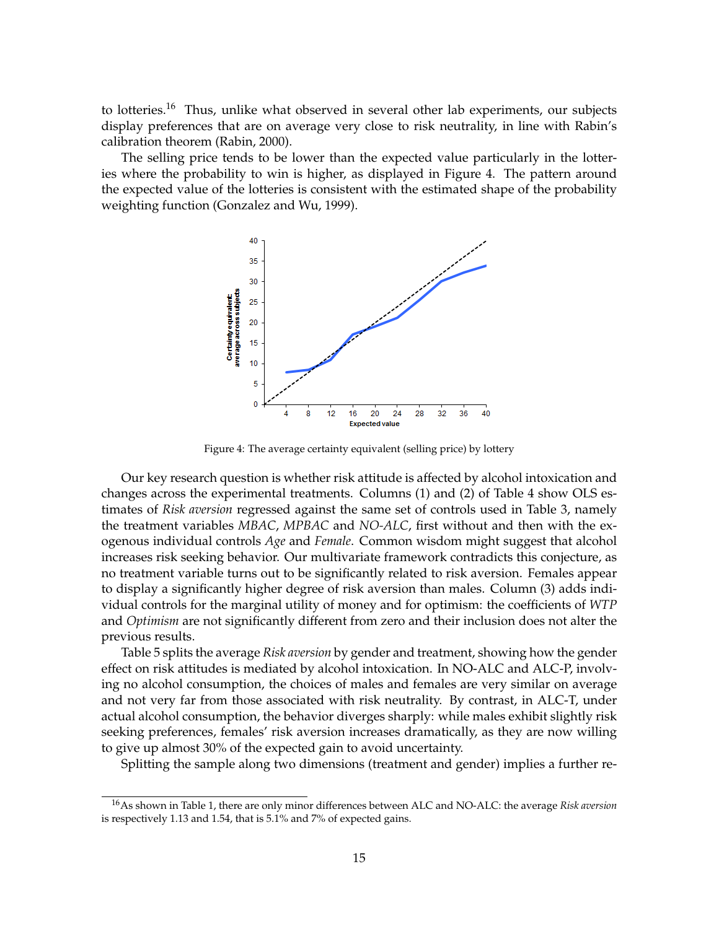to lotteries.<sup>16</sup> Thus, unlike what observed in several other lab experiments, our subjects display preferences that are on average very close to risk neutrality, in line with Rabin's calibration theorem (Rabin, 2000).

The selling price tends to be lower than the expected value particularly in the lotteries where the probability to win is higher, as displayed in Figure 4. The pattern around the expected value of the lotteries is consistent with the estimated shape of the probability weighting function (Gonzalez and Wu, 1999).



Figure 4: The average certainty equivalent (selling price) by lottery

Our key research question is whether risk attitude is affected by alcohol intoxication and changes across the experimental treatments. Columns (1) and (2) of Table 4 show OLS estimates of *Risk aversion* regressed against the same set of controls used in Table 3, namely the treatment variables *MBAC*, *MPBAC* and *NO-ALC*, first without and then with the exogenous individual controls *Age* and *Female*. Common wisdom might suggest that alcohol increases risk seeking behavior. Our multivariate framework contradicts this conjecture, as no treatment variable turns out to be significantly related to risk aversion. Females appear to display a significantly higher degree of risk aversion than males. Column (3) adds individual controls for the marginal utility of money and for optimism: the coefficients of *WTP* and *Optimism* are not significantly different from zero and their inclusion does not alter the previous results.

Table 5 splits the average *Risk aversion* by gender and treatment, showing how the gender effect on risk attitudes is mediated by alcohol intoxication. In NO-ALC and ALC-P, involving no alcohol consumption, the choices of males and females are very similar on average and not very far from those associated with risk neutrality. By contrast, in ALC-T, under actual alcohol consumption, the behavior diverges sharply: while males exhibit slightly risk seeking preferences, females' risk aversion increases dramatically, as they are now willing to give up almost 30% of the expected gain to avoid uncertainty.

Splitting the sample along two dimensions (treatment and gender) implies a further re-

<sup>16</sup>As shown in Table 1, there are only minor differences between ALC and NO-ALC: the average *Risk aversion* is respectively 1.13 and 1.54, that is 5.1% and 7% of expected gains.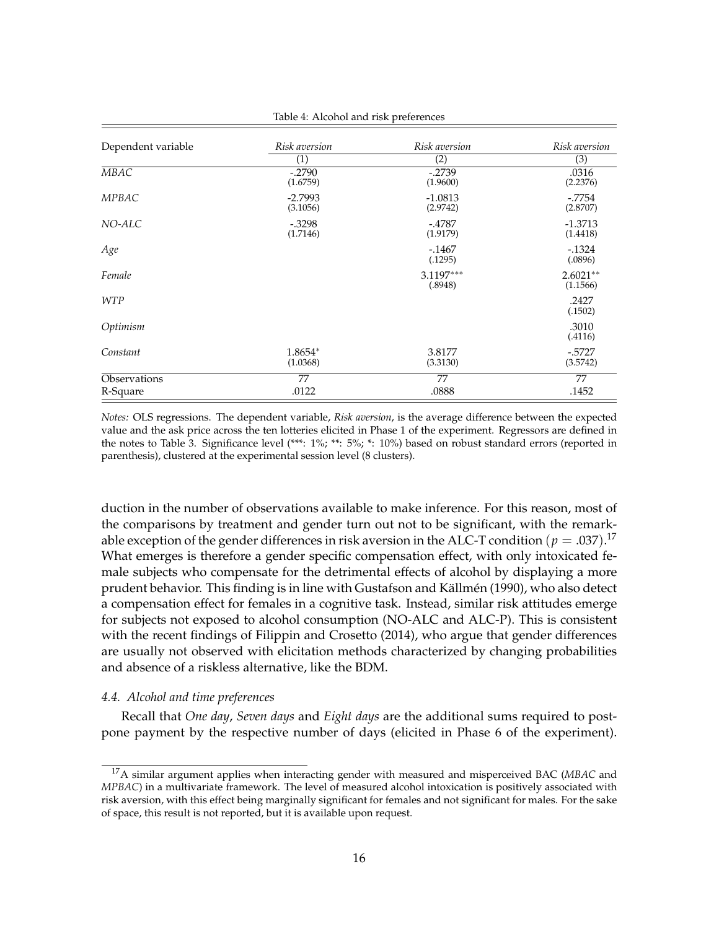| Dependent variable | Risk aversion         | Risk aversion         | Risk aversion          |
|--------------------|-----------------------|-----------------------|------------------------|
|                    | (1)                   | (2)                   | (3)                    |
| MBAC               | $-.2790$<br>(1.6759)  | $-.2739$<br>(1.9600)  | .0316<br>(2.2376)      |
| MPBAC              | $-2.7993$<br>(3.1056) | $-1.0813$<br>(2.9742) | $-7754$<br>(2.8707)    |
| NO-ALC             | $-.3298$<br>(1.7146)  | $-.4787$<br>(1.9179)  | $-1.3713$<br>(1.4418)  |
| Age                |                       | $-.1467$<br>(.1295)   | $-1324$<br>(.0896)     |
| Female             |                       | 3.1197***<br>(.8948)  | $2.6021**$<br>(1.1566) |
| <b>WTP</b>         |                       |                       | .2427<br>(.1502)       |
| Optimism           |                       |                       | .3010<br>(.4116)       |
| Constant           | 1.8654*<br>(1.0368)   | 3.8177<br>(3.3130)    | $-5727$<br>(3.5742)    |
| Observations       | 77                    | 77                    | 77                     |
| R-Square           | .0122                 | .0888                 | .1452                  |

Table 4: Alcohol and risk preferences

*Notes:* OLS regressions. The dependent variable, *Risk aversion*, is the average difference between the expected value and the ask price across the ten lotteries elicited in Phase 1 of the experiment. Regressors are defined in the notes to Table 3. Significance level (\*\*\*: 1%; \*\*: 5%; \*: 10%) based on robust standard errors (reported in parenthesis), clustered at the experimental session level (8 clusters).

duction in the number of observations available to make inference. For this reason, most of the comparisons by treatment and gender turn out not to be significant, with the remarkable exception of the gender differences in risk aversion in the ALC-T condition  $(p=.037).^{17}$ What emerges is therefore a gender specific compensation effect, with only intoxicated female subjects who compensate for the detrimental effects of alcohol by displaying a more prudent behavior. This finding is in line with Gustafson and Källmén (1990), who also detect a compensation effect for females in a cognitive task. Instead, similar risk attitudes emerge for subjects not exposed to alcohol consumption (NO-ALC and ALC-P). This is consistent with the recent findings of Filippin and Crosetto (2014), who argue that gender differences are usually not observed with elicitation methods characterized by changing probabilities and absence of a riskless alternative, like the BDM.

#### *4.4. Alcohol and time preferences*

Recall that *One day*, *Seven days* and *Eight days* are the additional sums required to postpone payment by the respective number of days (elicited in Phase 6 of the experiment).

<sup>17</sup>A similar argument applies when interacting gender with measured and misperceived BAC (*MBAC* and *MPBAC*) in a multivariate framework. The level of measured alcohol intoxication is positively associated with risk aversion, with this effect being marginally significant for females and not significant for males. For the sake of space, this result is not reported, but it is available upon request.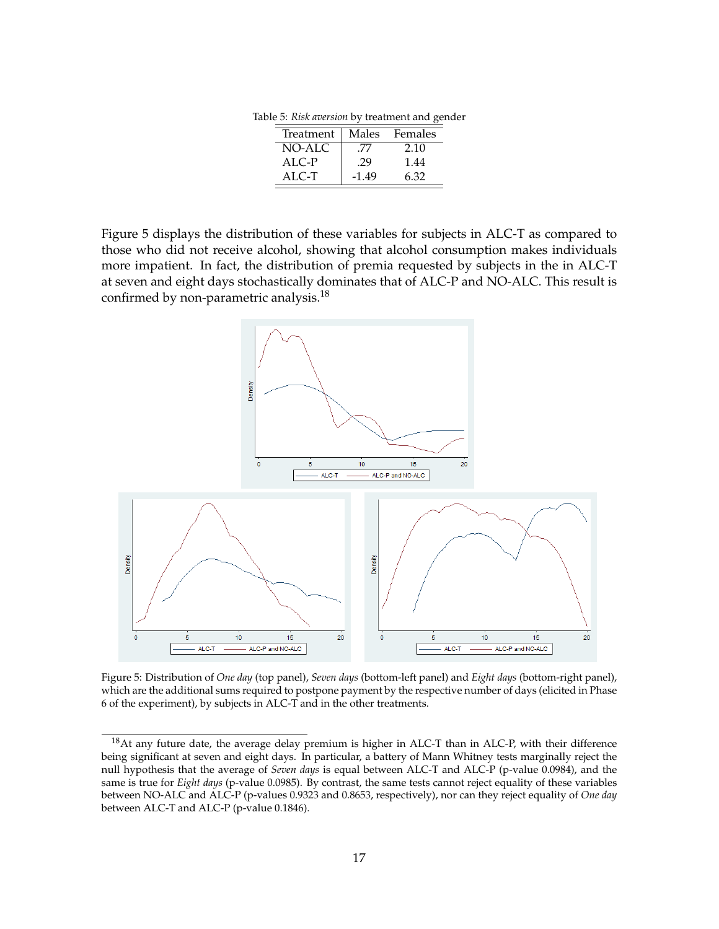Table 5: *Risk aversion* by treatment and gender

| Treatment | Males   | Females |
|-----------|---------|---------|
| NO-ALC    | '/'/    | 2.10    |
| ALC-P     | .29     | 1.44    |
| $AI.C-T$  | $-1.49$ | 6.32    |

Figure 5 displays the distribution of these variables for subjects in ALC-T as compared to those who did not receive alcohol, showing that alcohol consumption makes individuals more impatient. In fact, the distribution of premia requested by subjects in the in ALC-T at seven and eight days stochastically dominates that of ALC-P and NO-ALC. This result is confirmed by non-parametric analysis.<sup>18</sup>



Figure 5: Distribution of *One day* (top panel), *Seven days* (bottom-left panel) and *Eight days* (bottom-right panel), which are the additional sums required to postpone payment by the respective number of days (elicited in Phase 6 of the experiment), by subjects in ALC-T and in the other treatments.

<sup>18</sup>At any future date, the average delay premium is higher in ALC-T than in ALC-P, with their difference being significant at seven and eight days. In particular, a battery of Mann Whitney tests marginally reject the null hypothesis that the average of *Seven days* is equal between ALC-T and ALC-P (p-value 0.0984), and the same is true for *Eight days* (p-value 0.0985). By contrast, the same tests cannot reject equality of these variables between NO-ALC and ALC-P (p-values 0.9323 and 0.8653, respectively), nor can they reject equality of *One day* between ALC-T and ALC-P (p-value 0.1846).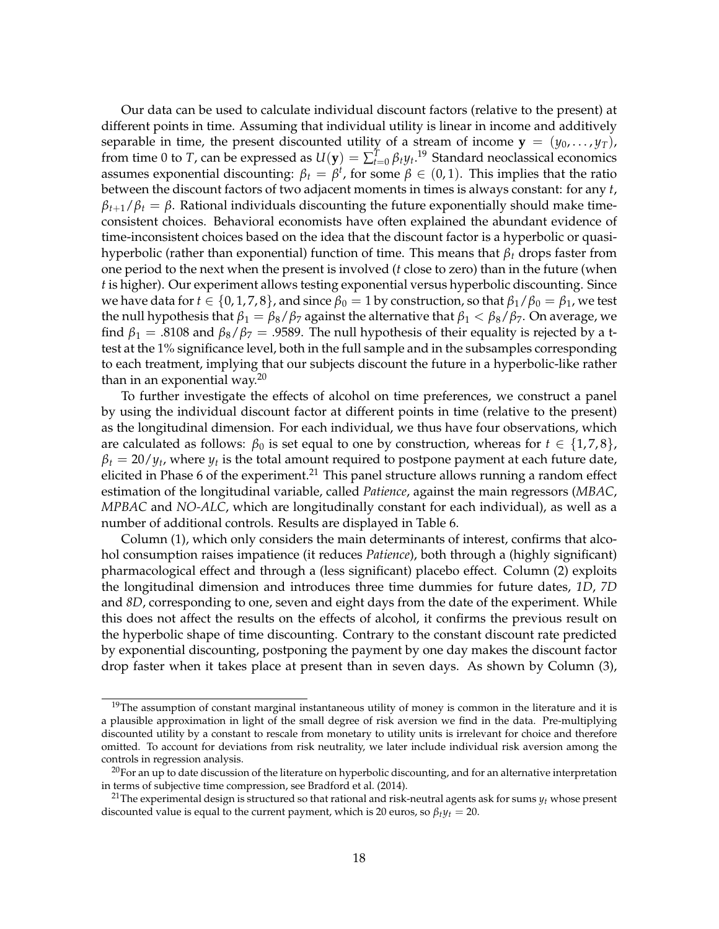Our data can be used to calculate individual discount factors (relative to the present) at different points in time. Assuming that individual utility is linear in income and additively separable in time, the present discounted utility of a stream of income  $y = (y_0, \ldots, y_T)$ , from time 0 to *T*, can be expressed as  $U(\mathbf{y}) = \sum_{t=0}^{T} \beta_t y_t$ .<sup>19</sup> Standard neoclassical economics assumes exponential discounting:  $\beta_t = \beta^t$ , for some  $\beta \in (0,1)$ . This implies that the ratio between the discount factors of two adjacent moments in times is always constant: for any *t*,  $\beta$ <sub>*t*+1</sub>/ $\beta$ <sup>*t*</sup> =  $\beta$ . Rational individuals discounting the future exponentially should make timeconsistent choices. Behavioral economists have often explained the abundant evidence of time-inconsistent choices based on the idea that the discount factor is a hyperbolic or quasihyperbolic (rather than exponential) function of time. This means that *β<sup>t</sup>* drops faster from one period to the next when the present is involved (*t* close to zero) than in the future (when *t* is higher). Our experiment allows testing exponential versus hyperbolic discounting. Since we have data for  $t \in \{0, 1, 7, 8\}$ , and since  $\beta_0 = 1$  by construction, so that  $\beta_1/\beta_0 = \beta_1$ , we test the null hypothesis that  $β_1 = β_8 / β_7$  against the alternative that  $β_1 < β_8 / β_7$ . On average, we find  $\beta_1 = .8108$  and  $\beta_8/\beta_7 = .9589$ . The null hypothesis of their equality is rejected by a ttest at the 1% significance level, both in the full sample and in the subsamples corresponding to each treatment, implying that our subjects discount the future in a hyperbolic-like rather than in an exponential way. $20$ 

To further investigate the effects of alcohol on time preferences, we construct a panel by using the individual discount factor at different points in time (relative to the present) as the longitudinal dimension. For each individual, we thus have four observations, which are calculated as follows:  $\beta_0$  is set equal to one by construction, whereas for  $t \in \{1,7,8\}$ ,  $\beta_t = 20/y_t$ , where  $y_t$  is the total amount required to postpone payment at each future date, elicited in Phase 6 of the experiment.<sup>21</sup> This panel structure allows running a random effect estimation of the longitudinal variable, called *Patience*, against the main regressors (*MBAC*, *MPBAC* and *NO-ALC*, which are longitudinally constant for each individual), as well as a number of additional controls. Results are displayed in Table 6.

Column (1), which only considers the main determinants of interest, confirms that alcohol consumption raises impatience (it reduces *Patience*), both through a (highly significant) pharmacological effect and through a (less significant) placebo effect. Column (2) exploits the longitudinal dimension and introduces three time dummies for future dates, *1D*, *7D* and *8D*, corresponding to one, seven and eight days from the date of the experiment. While this does not affect the results on the effects of alcohol, it confirms the previous result on the hyperbolic shape of time discounting. Contrary to the constant discount rate predicted by exponential discounting, postponing the payment by one day makes the discount factor drop faster when it takes place at present than in seven days. As shown by Column (3),

 $19$ The assumption of constant marginal instantaneous utility of money is common in the literature and it is a plausible approximation in light of the small degree of risk aversion we find in the data. Pre-multiplying discounted utility by a constant to rescale from monetary to utility units is irrelevant for choice and therefore omitted. To account for deviations from risk neutrality, we later include individual risk aversion among the controls in regression analysis.

 $20$ For an up to date discussion of the literature on hyperbolic discounting, and for an alternative interpretation in terms of subjective time compression, see Bradford et al. (2014).

<sup>21</sup>The experimental design is structured so that rational and risk-neutral agents ask for sums *y<sup>t</sup>* whose present discounted value is equal to the current payment, which is 20 euros, so  $\beta_t y_t = 20$ .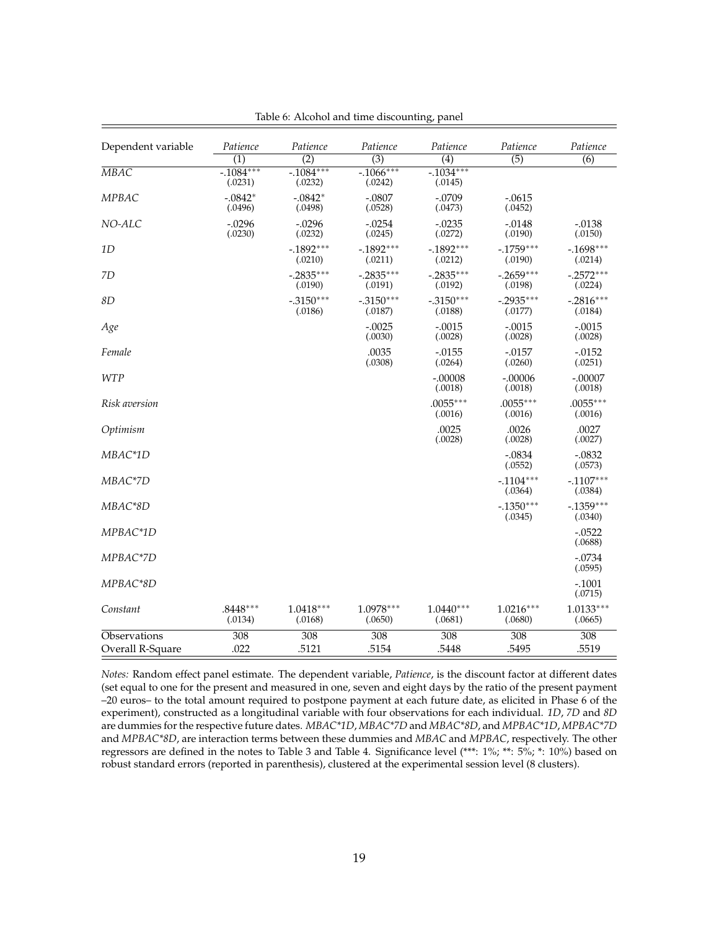| Dependent variable               | Patience              | Patience               | Patience                | Patience                | Patience               | Patience                |
|----------------------------------|-----------------------|------------------------|-------------------------|-------------------------|------------------------|-------------------------|
|                                  | $\overline{(1)}$      | $\overline{(2)}$       | $\overline{(3)}$        | $\overline{(4)}$        | $\overline{(5)}$       | $\overline{(6)}$        |
| $\overline{M}$ <i>AG</i>         | $-1084***$<br>(.0231) | $-1084***$<br>(.0232)  | $-0.1066***$<br>(.0242) | $-0.1034***$<br>(.0145) |                        |                         |
| MPBAC                            | $-.0842*$<br>(.0496)  | $-.0842*$<br>(.0498)   | $-.0807$<br>(.0528)     | $-.0709$<br>(.0473)     | $-.0615$<br>(.0452)    |                         |
| NO-ALC                           | $-.0296$<br>(.0230)   | $-.0296$<br>(.0232)    | $-.0254$<br>(.0245)     | $-.0235$<br>(.0272)     | $-.0148$<br>(.0190)    | $-0.0138$<br>(.0150)    |
| 1D                               |                       | $-.1892***$<br>(.0210) | $-1892***$<br>(.0211)   | $-1892***$<br>(.0212)   | $-.1759***$<br>(.0190) | $-.1698***$<br>(.0214)  |
| 7D                               |                       | $-.2835***$<br>(.0190) | $-.2835***$<br>(.0191)  | $-.2835***$<br>(.0192)  | $-.2659***$<br>(.0198) | $-.2572***$<br>(.0224)  |
| 8D                               |                       | $-.3150***$<br>(.0186) | $-.3150***$<br>(.0187)  | $-.3150***$<br>(.0188)  | $-.2935***$<br>(.0177) | $-.2816***$<br>(.0184)  |
| Age                              |                       |                        | $-.0025$<br>(.0030)     | $-.0015$<br>(.0028)     | $-.0015$<br>(.0028)    | $-.0015$<br>(.0028)     |
| Female                           |                       |                        | .0035<br>(.0308)        | $-.0155$<br>(.0264)     | $-.0157$<br>(.0260)    | $-.0152$<br>(.0251)     |
| <b>WTP</b>                       |                       |                        |                         | $-.00008$<br>(.0018)    | $-.00006$<br>(.0018)   | $-.00007$<br>(.0018)    |
| <i>Risk aversion</i>             |                       |                        |                         | $.0055***$<br>(.0016)   | $.0055***$<br>(.0016)  | $.0055***$<br>(.0016)   |
| Optimism                         |                       |                        |                         | .0025<br>(.0028)        | .0026<br>(.0028)       | .0027<br>(.0027)        |
| MBAC*1D                          |                       |                        |                         |                         | $-.0834$<br>(.0552)    | $-.0832$<br>(.0573)     |
| MBAC*7D                          |                       |                        |                         |                         | $-.1104***$<br>(.0364) | $-.1107***$<br>(.0384)  |
| MBAC*8D                          |                       |                        |                         |                         | $-.1350***$<br>(.0345) | $-0.1359***$<br>(.0340) |
| MPBAC*1D                         |                       |                        |                         |                         |                        | $-.0522$<br>(.0688)     |
| MPBAC*7D                         |                       |                        |                         |                         |                        | $-.0734$<br>(.0595)     |
| MPBAC*8D                         |                       |                        |                         |                         |                        | $-.1001$<br>(.0715)     |
| Constant                         | $.8448***$<br>(.0134) | $1.0418***$<br>(.0168) | $1.0978***$<br>(.0650)  | $1.0440***$<br>(.0681)  | $1.0216***$<br>(.0680) | $1.0133***$<br>(.0665)  |
| Observations<br>Overall R-Square | 308<br>.022           | 308<br>.5121           | 308<br>.5154            | 308<br>.5448            | 308<br>.5495           | 308<br>.5519            |

Table 6: Alcohol and time discounting, panel

*Notes:* Random effect panel estimate. The dependent variable, *Patience*, is the discount factor at different dates (set equal to one for the present and measured in one, seven and eight days by the ratio of the present payment –20 euros– to the total amount required to postpone payment at each future date, as elicited in Phase 6 of the experiment), constructed as a longitudinal variable with four observations for each individual. *1D*, *7D* and *8D* are dummies for the respective future dates. *MBAC\*1D*, *MBAC\*7D* and *MBAC\*8D*, and *MPBAC\*1D*, *MPBAC\*7D* and *MPBAC\*8D*, are interaction terms between these dummies and *MBAC* and *MPBAC*, respectively. The other regressors are defined in the notes to Table 3 and Table 4. Significance level (\*\*\*: 1%; \*\*: 5%; \*: 10%) based on robust standard errors (reported in parenthesis), clustered at the experimental session level (8 clusters).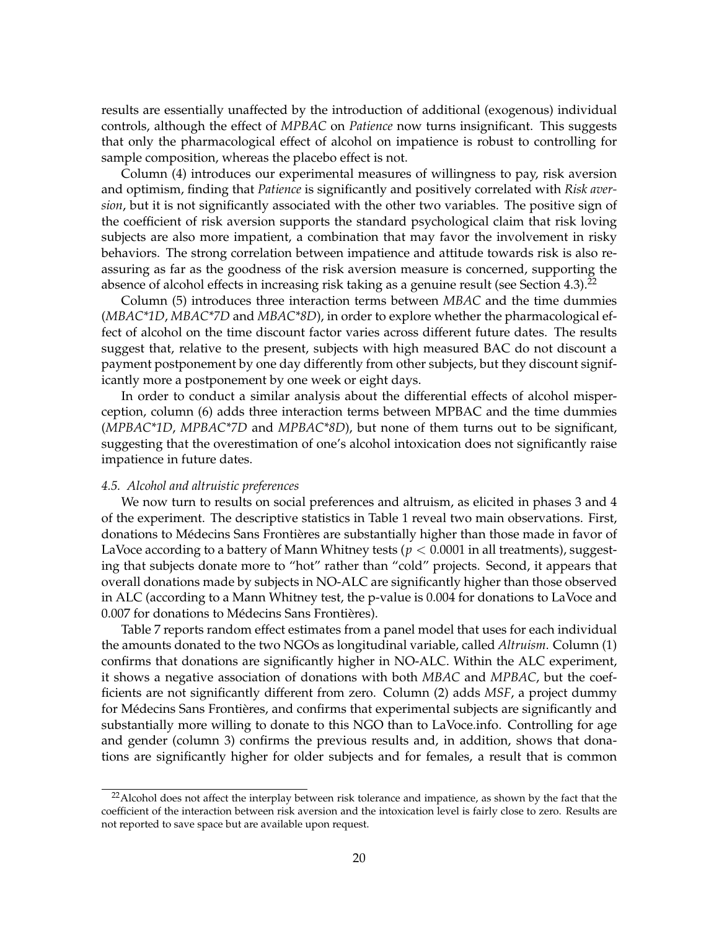results are essentially unaffected by the introduction of additional (exogenous) individual controls, although the effect of *MPBAC* on *Patience* now turns insignificant. This suggests that only the pharmacological effect of alcohol on impatience is robust to controlling for sample composition, whereas the placebo effect is not.

Column (4) introduces our experimental measures of willingness to pay, risk aversion and optimism, finding that *Patience* is significantly and positively correlated with *Risk aversion*, but it is not significantly associated with the other two variables. The positive sign of the coefficient of risk aversion supports the standard psychological claim that risk loving subjects are also more impatient, a combination that may favor the involvement in risky behaviors. The strong correlation between impatience and attitude towards risk is also reassuring as far as the goodness of the risk aversion measure is concerned, supporting the absence of alcohol effects in increasing risk taking as a genuine result (see Section 4.3).<sup>22</sup>

Column (5) introduces three interaction terms between *MBAC* and the time dummies (*MBAC\*1D*, *MBAC\*7D* and *MBAC\*8D*), in order to explore whether the pharmacological effect of alcohol on the time discount factor varies across different future dates. The results suggest that, relative to the present, subjects with high measured BAC do not discount a payment postponement by one day differently from other subjects, but they discount significantly more a postponement by one week or eight days.

In order to conduct a similar analysis about the differential effects of alcohol misperception, column (6) adds three interaction terms between MPBAC and the time dummies (*MPBAC\*1D*, *MPBAC\*7D* and *MPBAC\*8D*), but none of them turns out to be significant, suggesting that the overestimation of one's alcohol intoxication does not significantly raise impatience in future dates.

#### *4.5. Alcohol and altruistic preferences*

We now turn to results on social preferences and altruism, as elicited in phases 3 and 4 of the experiment. The descriptive statistics in Table 1 reveal two main observations. First, donations to Médecins Sans Frontières are substantially higher than those made in favor of LaVoce according to a battery of Mann Whitney tests ( $p < 0.0001$  in all treatments), suggesting that subjects donate more to "hot" rather than "cold" projects. Second, it appears that overall donations made by subjects in NO-ALC are significantly higher than those observed in ALC (according to a Mann Whitney test, the p-value is 0.004 for donations to LaVoce and 0.007 for donations to Médecins Sans Frontières).

Table 7 reports random effect estimates from a panel model that uses for each individual the amounts donated to the two NGOs as longitudinal variable, called *Altruism*. Column (1) confirms that donations are significantly higher in NO-ALC. Within the ALC experiment, it shows a negative association of donations with both *MBAC* and *MPBAC*, but the coefficients are not significantly different from zero. Column (2) adds *MSF*, a project dummy for Médecins Sans Frontières, and confirms that experimental subjects are significantly and substantially more willing to donate to this NGO than to LaVoce.info. Controlling for age and gender (column 3) confirms the previous results and, in addition, shows that donations are significantly higher for older subjects and for females, a result that is common

<sup>&</sup>lt;sup>22</sup> Alcohol does not affect the interplay between risk tolerance and impatience, as shown by the fact that the coefficient of the interaction between risk aversion and the intoxication level is fairly close to zero. Results are not reported to save space but are available upon request.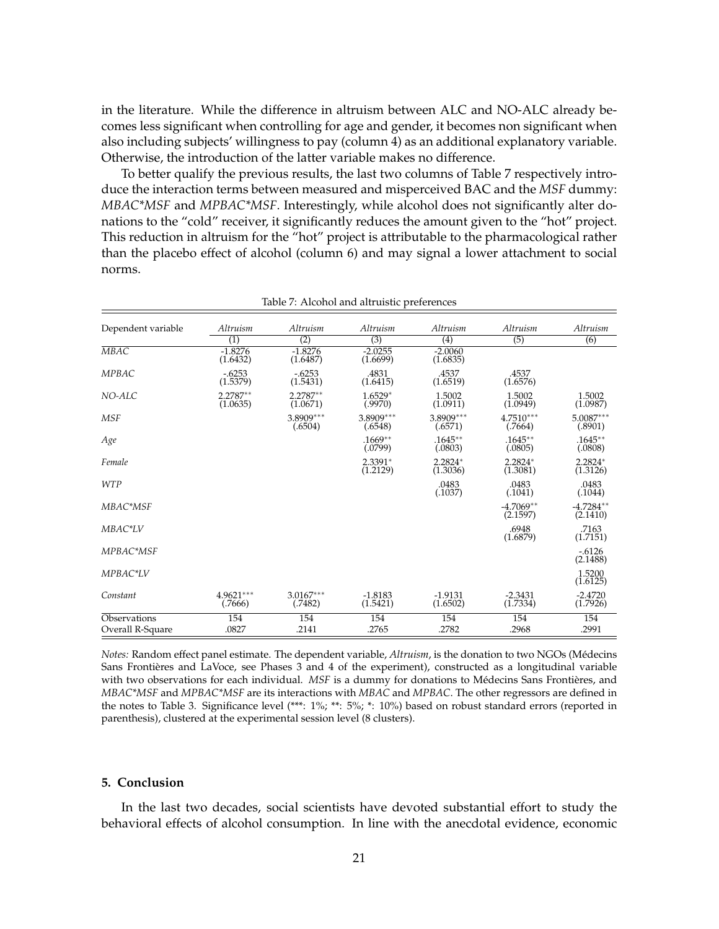in the literature. While the difference in altruism between ALC and NO-ALC already becomes less significant when controlling for age and gender, it becomes non significant when also including subjects' willingness to pay (column 4) as an additional explanatory variable. Otherwise, the introduction of the latter variable makes no difference.

To better qualify the previous results, the last two columns of Table 7 respectively introduce the interaction terms between measured and misperceived BAC and the *MSF* dummy: *MBAC\*MSF* and *MPBAC\*MSF*. Interestingly, while alcohol does not significantly alter donations to the "cold" receiver, it significantly reduces the amount given to the "hot" project. This reduction in altruism for the "hot" project is attributable to the pharmacological rather than the placebo effect of alcohol (column 6) and may signal a lower attachment to social norms.

| Dependent variable               | Altruism               | Altruism               | Altruism               | Altruism              | Altruism                | Altruism                |
|----------------------------------|------------------------|------------------------|------------------------|-----------------------|-------------------------|-------------------------|
|                                  | $\left( 1\right)$      | (2)                    | $\overline{(3)}$       | $\left( 4\right)$     | (5)                     | (6)                     |
| MBAC                             | $-1.8276$<br>(1.6432)  | $-1.8276$<br>(1.6487)  | $-2.0255$<br>(1.6699)  | $-2.0060$<br>(1.6835) |                         |                         |
| <b>MPBAC</b>                     | $-.6253$<br>(1.5379)   | $-.6253$<br>(1.5431)   | .4831<br>(1.6415)      | .4537<br>(1.6519)     | .4537<br>(1.6576)       |                         |
| NO-ALC                           | $2.2787**$<br>(1.0635) | $2.2787**$<br>(1.0671) | $1.6529*$<br>(.9970)   | 1.5002<br>(1.0911)    | 1.5002<br>(1.0949)      | 1.5002<br>(1.0987)      |
| <b>MSF</b>                       |                        | $3.8909***$<br>(.6504) | $3.8909***$<br>(.6548) | 3.8909***<br>(.6571)  | $4.7510***$<br>(.7664)  | $5.0087***$<br>(.8901)  |
| Age                              |                        |                        | $.1669**$<br>(.0799)   | $.1645***$<br>(.0803) | $.1645***$<br>(.0805)   | $.1645***$<br>(.0808)   |
| Female                           |                        |                        | $2.3391*$<br>(1.2129)  | 2.2824*<br>(1.3036)   | $2.2824*$<br>(1.3081)   | $2.2824*$<br>(1.3126)   |
| <b>WTP</b>                       |                        |                        |                        | .0483<br>(.1037)      | .0483<br>(.1041)        | .0483<br>(.1044)        |
| MBAC*MSF                         |                        |                        |                        |                       | $-4.7069**$<br>(2.1597) | $-4.7284**$<br>(2.1410) |
| MBAC*LV                          |                        |                        |                        |                       | .6948<br>(1.6879)       | .7163<br>(1.7151)       |
| MPBAC*MSF                        |                        |                        |                        |                       |                         | $-0.6126$<br>(2.1488)   |
| MPBAC*LV                         |                        |                        |                        |                       |                         | 1.5200<br>(1.6125)      |
| Constant                         | 4.9621***<br>(.7666)   | $3.0167***$<br>(.7482) | $-1.8183$<br>(1.5421)  | $-1.9131$<br>(1.6502) | $-2.3431$<br>(1.7334)   | $-2.4720$<br>(1.7926)   |
| Observations<br>Overall R-Square | 154<br>.0827           | 154<br>.2141           | 154<br>.2765           | 154<br>.2782          | 154<br>.2968            | 154<br>.2991            |

Table 7: Alcohol and altruistic preferences

*Notes:* Random effect panel estimate. The dependent variable, *Altruism*, is the donation to two NGOs (Médecins Sans Frontières and LaVoce, see Phases 3 and 4 of the experiment), constructed as a longitudinal variable with two observations for each individual. *MSF* is a dummy for donations to Médecins Sans Frontières, and *MBAC\*MSF* and *MPBAC\*MSF* are its interactions with *MBAC* and *MPBAC*. The other regressors are defined in the notes to Table 3. Significance level (\*\*\*: 1%; \*\*: 5%; \*: 10%) based on robust standard errors (reported in parenthesis), clustered at the experimental session level (8 clusters).

#### **5. Conclusion**

In the last two decades, social scientists have devoted substantial effort to study the behavioral effects of alcohol consumption. In line with the anecdotal evidence, economic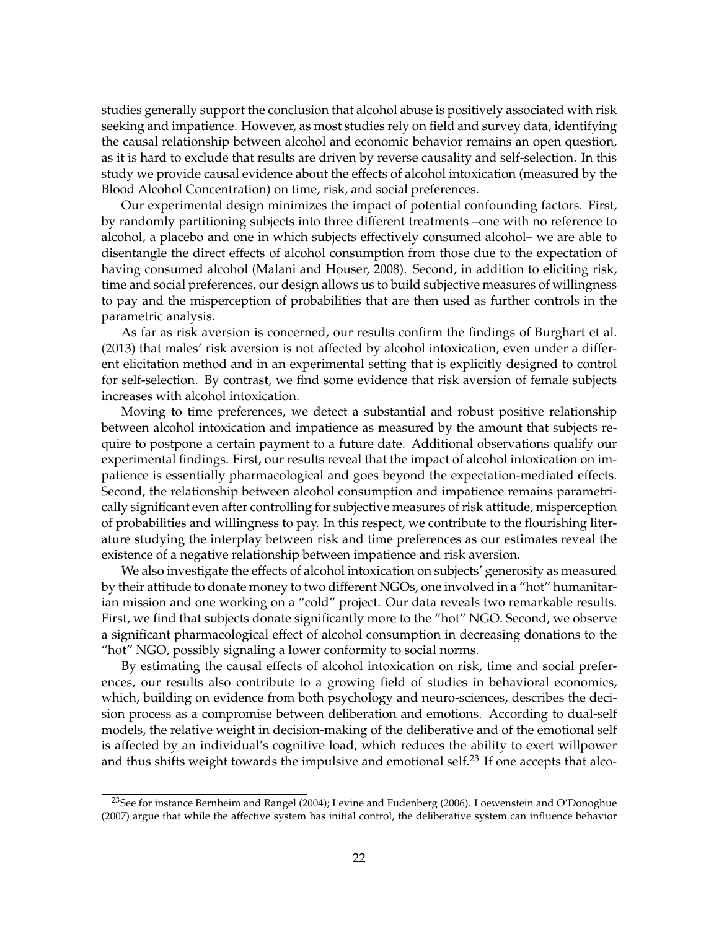studies generally support the conclusion that alcohol abuse is positively associated with risk seeking and impatience. However, as most studies rely on field and survey data, identifying the causal relationship between alcohol and economic behavior remains an open question, as it is hard to exclude that results are driven by reverse causality and self-selection. In this study we provide causal evidence about the effects of alcohol intoxication (measured by the Blood Alcohol Concentration) on time, risk, and social preferences.

Our experimental design minimizes the impact of potential confounding factors. First, by randomly partitioning subjects into three different treatments –one with no reference to alcohol, a placebo and one in which subjects effectively consumed alcohol– we are able to disentangle the direct effects of alcohol consumption from those due to the expectation of having consumed alcohol (Malani and Houser, 2008). Second, in addition to eliciting risk, time and social preferences, our design allows us to build subjective measures of willingness to pay and the misperception of probabilities that are then used as further controls in the parametric analysis.

As far as risk aversion is concerned, our results confirm the findings of Burghart et al. (2013) that males' risk aversion is not affected by alcohol intoxication, even under a different elicitation method and in an experimental setting that is explicitly designed to control for self-selection. By contrast, we find some evidence that risk aversion of female subjects increases with alcohol intoxication.

Moving to time preferences, we detect a substantial and robust positive relationship between alcohol intoxication and impatience as measured by the amount that subjects require to postpone a certain payment to a future date. Additional observations qualify our experimental findings. First, our results reveal that the impact of alcohol intoxication on impatience is essentially pharmacological and goes beyond the expectation-mediated effects. Second, the relationship between alcohol consumption and impatience remains parametrically significant even after controlling for subjective measures of risk attitude, misperception of probabilities and willingness to pay. In this respect, we contribute to the flourishing literature studying the interplay between risk and time preferences as our estimates reveal the existence of a negative relationship between impatience and risk aversion.

We also investigate the effects of alcohol intoxication on subjects' generosity as measured by their attitude to donate money to two different NGOs, one involved in a "hot" humanitarian mission and one working on a "cold" project. Our data reveals two remarkable results. First, we find that subjects donate significantly more to the "hot" NGO. Second, we observe a significant pharmacological effect of alcohol consumption in decreasing donations to the "hot" NGO, possibly signaling a lower conformity to social norms.

By estimating the causal effects of alcohol intoxication on risk, time and social preferences, our results also contribute to a growing field of studies in behavioral economics, which, building on evidence from both psychology and neuro-sciences, describes the decision process as a compromise between deliberation and emotions. According to dual-self models, the relative weight in decision-making of the deliberative and of the emotional self is affected by an individual's cognitive load, which reduces the ability to exert willpower and thus shifts weight towards the impulsive and emotional self.<sup>23</sup> If one accepts that alco-

<sup>&</sup>lt;sup>23</sup>See for instance Bernheim and Rangel (2004); Levine and Fudenberg (2006). Loewenstein and O'Donoghue (2007) argue that while the affective system has initial control, the deliberative system can influence behavior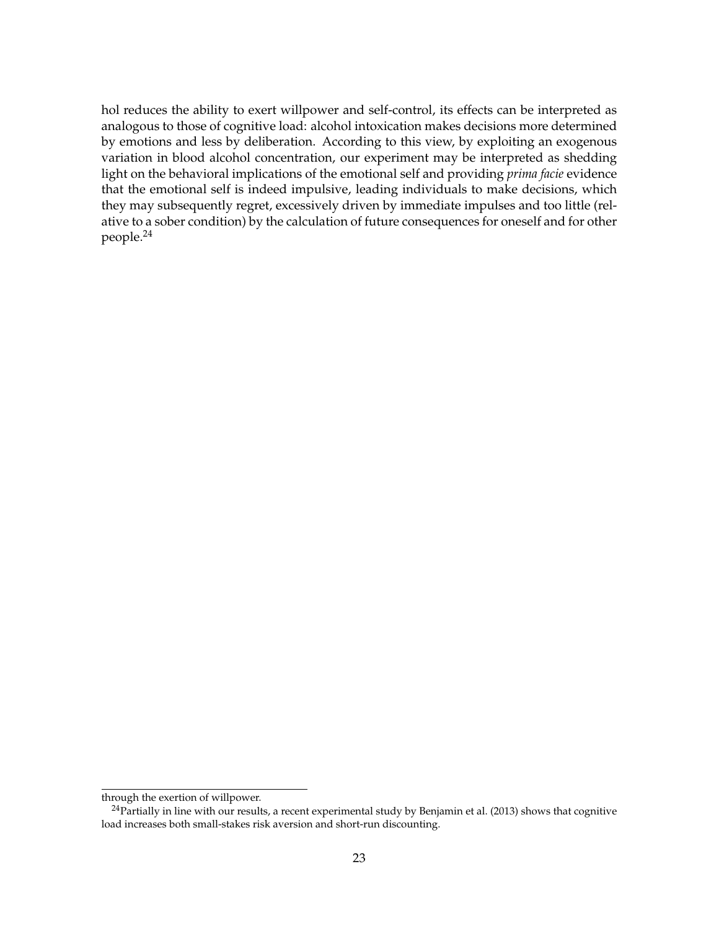hol reduces the ability to exert willpower and self-control, its effects can be interpreted as analogous to those of cognitive load: alcohol intoxication makes decisions more determined by emotions and less by deliberation. According to this view, by exploiting an exogenous variation in blood alcohol concentration, our experiment may be interpreted as shedding light on the behavioral implications of the emotional self and providing *prima facie* evidence that the emotional self is indeed impulsive, leading individuals to make decisions, which they may subsequently regret, excessively driven by immediate impulses and too little (relative to a sober condition) by the calculation of future consequences for oneself and for other people.<sup>24</sup>

through the exertion of willpower.

 $^{24}$ Partially in line with our results, a recent experimental study by Benjamin et al. (2013) shows that cognitive load increases both small-stakes risk aversion and short-run discounting.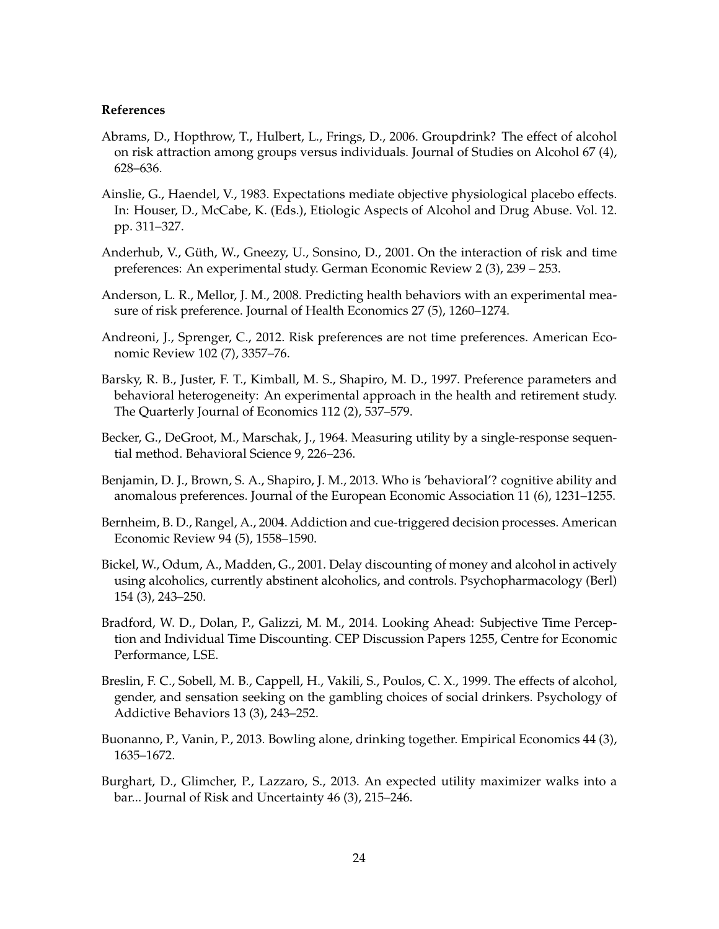#### **References**

- Abrams, D., Hopthrow, T., Hulbert, L., Frings, D., 2006. Groupdrink? The effect of alcohol on risk attraction among groups versus individuals. Journal of Studies on Alcohol 67 (4), 628–636.
- Ainslie, G., Haendel, V., 1983. Expectations mediate objective physiological placebo effects. In: Houser, D., McCabe, K. (Eds.), Etiologic Aspects of Alcohol and Drug Abuse. Vol. 12. pp. 311–327.
- Anderhub, V., Güth, W., Gneezy, U., Sonsino, D., 2001. On the interaction of risk and time preferences: An experimental study. German Economic Review 2 (3), 239 – 253.
- Anderson, L. R., Mellor, J. M., 2008. Predicting health behaviors with an experimental measure of risk preference. Journal of Health Economics 27 (5), 1260–1274.
- Andreoni, J., Sprenger, C., 2012. Risk preferences are not time preferences. American Economic Review 102 (7), 3357–76.
- Barsky, R. B., Juster, F. T., Kimball, M. S., Shapiro, M. D., 1997. Preference parameters and behavioral heterogeneity: An experimental approach in the health and retirement study. The Quarterly Journal of Economics 112 (2), 537–579.
- Becker, G., DeGroot, M., Marschak, J., 1964. Measuring utility by a single-response sequential method. Behavioral Science 9, 226–236.
- Benjamin, D. J., Brown, S. A., Shapiro, J. M., 2013. Who is 'behavioral'? cognitive ability and anomalous preferences. Journal of the European Economic Association 11 (6), 1231–1255.
- Bernheim, B. D., Rangel, A., 2004. Addiction and cue-triggered decision processes. American Economic Review 94 (5), 1558–1590.
- Bickel, W., Odum, A., Madden, G., 2001. Delay discounting of money and alcohol in actively using alcoholics, currently abstinent alcoholics, and controls. Psychopharmacology (Berl) 154 (3), 243–250.
- Bradford, W. D., Dolan, P., Galizzi, M. M., 2014. Looking Ahead: Subjective Time Perception and Individual Time Discounting. CEP Discussion Papers 1255, Centre for Economic Performance, LSE.
- Breslin, F. C., Sobell, M. B., Cappell, H., Vakili, S., Poulos, C. X., 1999. The effects of alcohol, gender, and sensation seeking on the gambling choices of social drinkers. Psychology of Addictive Behaviors 13 (3), 243–252.
- Buonanno, P., Vanin, P., 2013. Bowling alone, drinking together. Empirical Economics 44 (3), 1635–1672.
- Burghart, D., Glimcher, P., Lazzaro, S., 2013. An expected utility maximizer walks into a bar... Journal of Risk and Uncertainty 46 (3), 215–246.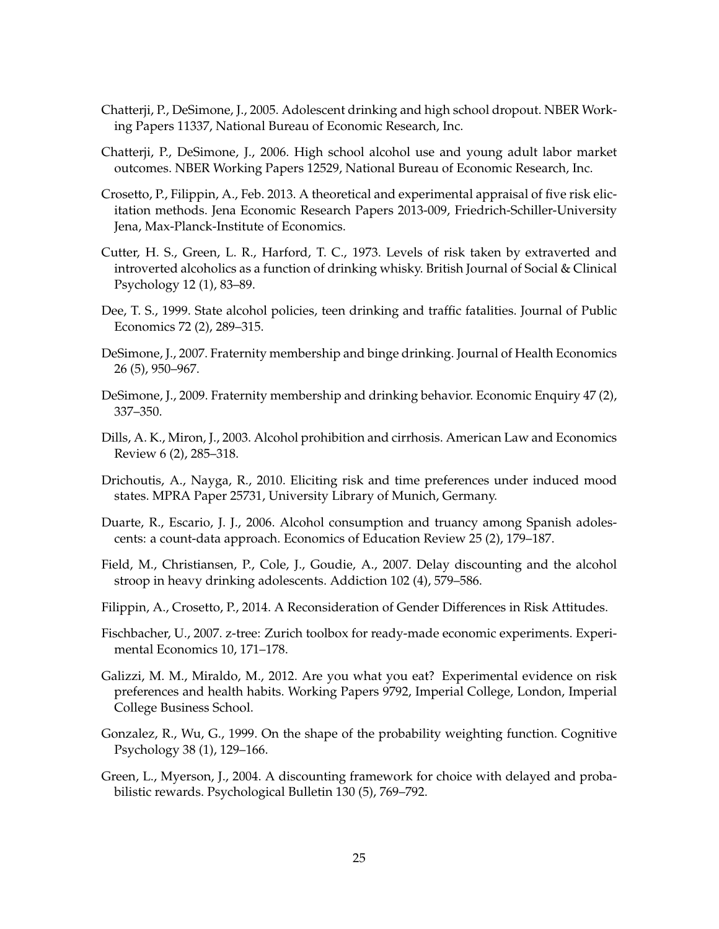- Chatterji, P., DeSimone, J., 2005. Adolescent drinking and high school dropout. NBER Working Papers 11337, National Bureau of Economic Research, Inc.
- Chatterji, P., DeSimone, J., 2006. High school alcohol use and young adult labor market outcomes. NBER Working Papers 12529, National Bureau of Economic Research, Inc.
- Crosetto, P., Filippin, A., Feb. 2013. A theoretical and experimental appraisal of five risk elicitation methods. Jena Economic Research Papers 2013-009, Friedrich-Schiller-University Jena, Max-Planck-Institute of Economics.
- Cutter, H. S., Green, L. R., Harford, T. C., 1973. Levels of risk taken by extraverted and introverted alcoholics as a function of drinking whisky. British Journal of Social & Clinical Psychology 12 (1), 83–89.
- Dee, T. S., 1999. State alcohol policies, teen drinking and traffic fatalities. Journal of Public Economics 72 (2), 289–315.
- DeSimone, J., 2007. Fraternity membership and binge drinking. Journal of Health Economics 26 (5), 950–967.
- DeSimone, J., 2009. Fraternity membership and drinking behavior. Economic Enquiry 47 (2), 337–350.
- Dills, A. K., Miron, J., 2003. Alcohol prohibition and cirrhosis. American Law and Economics Review 6 (2), 285–318.
- Drichoutis, A., Nayga, R., 2010. Eliciting risk and time preferences under induced mood states. MPRA Paper 25731, University Library of Munich, Germany.
- Duarte, R., Escario, J. J., 2006. Alcohol consumption and truancy among Spanish adolescents: a count-data approach. Economics of Education Review 25 (2), 179–187.
- Field, M., Christiansen, P., Cole, J., Goudie, A., 2007. Delay discounting and the alcohol stroop in heavy drinking adolescents. Addiction 102 (4), 579–586.
- Filippin, A., Crosetto, P., 2014. A Reconsideration of Gender Differences in Risk Attitudes.
- Fischbacher, U., 2007. z-tree: Zurich toolbox for ready-made economic experiments. Experimental Economics 10, 171–178.
- Galizzi, M. M., Miraldo, M., 2012. Are you what you eat? Experimental evidence on risk preferences and health habits. Working Papers 9792, Imperial College, London, Imperial College Business School.
- Gonzalez, R., Wu, G., 1999. On the shape of the probability weighting function. Cognitive Psychology 38 (1), 129–166.
- Green, L., Myerson, J., 2004. A discounting framework for choice with delayed and probabilistic rewards. Psychological Bulletin 130 (5), 769–792.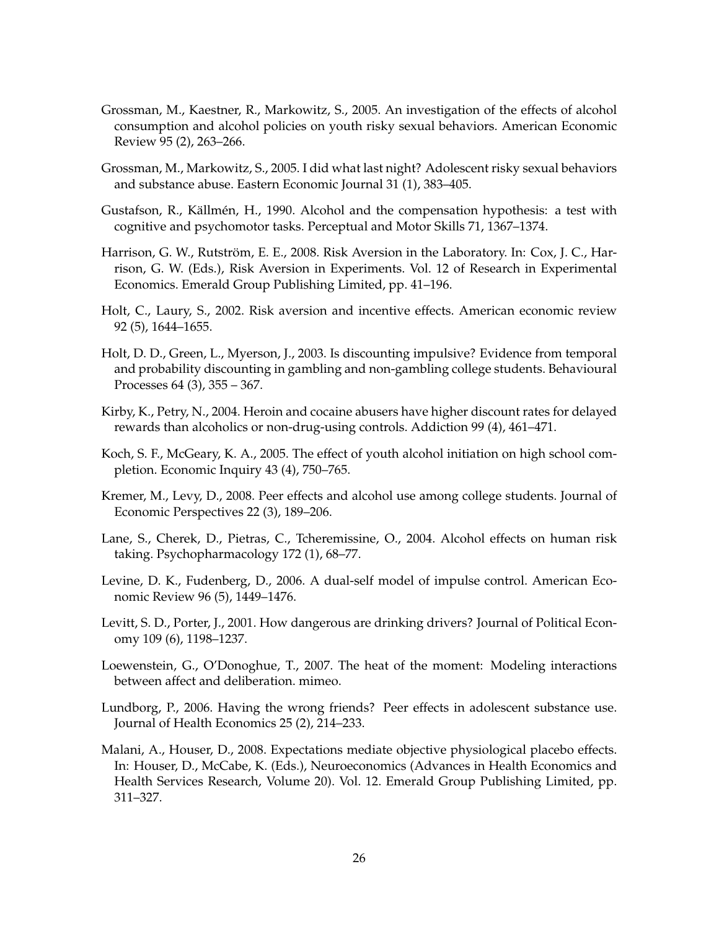- Grossman, M., Kaestner, R., Markowitz, S., 2005. An investigation of the effects of alcohol consumption and alcohol policies on youth risky sexual behaviors. American Economic Review 95 (2), 263–266.
- Grossman, M., Markowitz, S., 2005. I did what last night? Adolescent risky sexual behaviors and substance abuse. Eastern Economic Journal 31 (1), 383–405.
- Gustafson, R., Källmén, H., 1990. Alcohol and the compensation hypothesis: a test with cognitive and psychomotor tasks. Perceptual and Motor Skills 71, 1367–1374.
- Harrison, G. W., Rutström, E. E., 2008. Risk Aversion in the Laboratory. In: Cox, J. C., Harrison, G. W. (Eds.), Risk Aversion in Experiments. Vol. 12 of Research in Experimental Economics. Emerald Group Publishing Limited, pp. 41–196.
- Holt, C., Laury, S., 2002. Risk aversion and incentive effects. American economic review 92 (5), 1644–1655.
- Holt, D. D., Green, L., Myerson, J., 2003. Is discounting impulsive? Evidence from temporal and probability discounting in gambling and non-gambling college students. Behavioural Processes 64 (3), 355 – 367.
- Kirby, K., Petry, N., 2004. Heroin and cocaine abusers have higher discount rates for delayed rewards than alcoholics or non-drug-using controls. Addiction 99 (4), 461–471.
- Koch, S. F., McGeary, K. A., 2005. The effect of youth alcohol initiation on high school completion. Economic Inquiry 43 (4), 750–765.
- Kremer, M., Levy, D., 2008. Peer effects and alcohol use among college students. Journal of Economic Perspectives 22 (3), 189–206.
- Lane, S., Cherek, D., Pietras, C., Tcheremissine, O., 2004. Alcohol effects on human risk taking. Psychopharmacology 172 (1), 68–77.
- Levine, D. K., Fudenberg, D., 2006. A dual-self model of impulse control. American Economic Review 96 (5), 1449–1476.
- Levitt, S. D., Porter, J., 2001. How dangerous are drinking drivers? Journal of Political Economy 109 (6), 1198–1237.
- Loewenstein, G., O'Donoghue, T., 2007. The heat of the moment: Modeling interactions between affect and deliberation. mimeo.
- Lundborg, P., 2006. Having the wrong friends? Peer effects in adolescent substance use. Journal of Health Economics 25 (2), 214–233.
- Malani, A., Houser, D., 2008. Expectations mediate objective physiological placebo effects. In: Houser, D., McCabe, K. (Eds.), Neuroeconomics (Advances in Health Economics and Health Services Research, Volume 20). Vol. 12. Emerald Group Publishing Limited, pp. 311–327.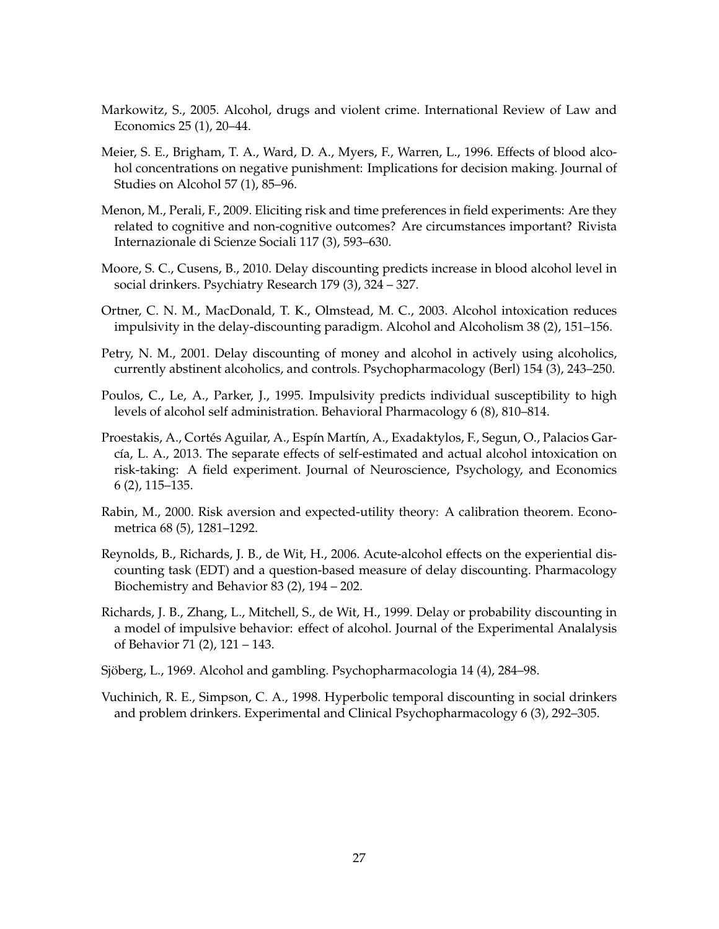- Markowitz, S., 2005. Alcohol, drugs and violent crime. International Review of Law and Economics 25 (1), 20–44.
- Meier, S. E., Brigham, T. A., Ward, D. A., Myers, F., Warren, L., 1996. Effects of blood alcohol concentrations on negative punishment: Implications for decision making. Journal of Studies on Alcohol 57 (1), 85–96.
- Menon, M., Perali, F., 2009. Eliciting risk and time preferences in field experiments: Are they related to cognitive and non-cognitive outcomes? Are circumstances important? Rivista Internazionale di Scienze Sociali 117 (3), 593–630.
- Moore, S. C., Cusens, B., 2010. Delay discounting predicts increase in blood alcohol level in social drinkers. Psychiatry Research 179 (3), 324 – 327.
- Ortner, C. N. M., MacDonald, T. K., Olmstead, M. C., 2003. Alcohol intoxication reduces impulsivity in the delay-discounting paradigm. Alcohol and Alcoholism 38 (2), 151–156.
- Petry, N. M., 2001. Delay discounting of money and alcohol in actively using alcoholics, currently abstinent alcoholics, and controls. Psychopharmacology (Berl) 154 (3), 243–250.
- Poulos, C., Le, A., Parker, J., 1995. Impulsivity predicts individual susceptibility to high levels of alcohol self administration. Behavioral Pharmacology 6 (8), 810–814.
- Proestakis, A., Cortés Aguilar, A., Espín Martín, A., Exadaktylos, F., Segun, O., Palacios García, L. A., 2013. The separate effects of self-estimated and actual alcohol intoxication on risk-taking: A field experiment. Journal of Neuroscience, Psychology, and Economics 6 (2), 115–135.
- Rabin, M., 2000. Risk aversion and expected-utility theory: A calibration theorem. Econometrica 68 (5), 1281–1292.
- Reynolds, B., Richards, J. B., de Wit, H., 2006. Acute-alcohol effects on the experiential discounting task (EDT) and a question-based measure of delay discounting. Pharmacology Biochemistry and Behavior 83 (2), 194 – 202.
- Richards, J. B., Zhang, L., Mitchell, S., de Wit, H., 1999. Delay or probability discounting in a model of impulsive behavior: effect of alcohol. Journal of the Experimental Analalysis of Behavior 71 (2), 121 – 143.
- Sjöberg, L., 1969. Alcohol and gambling. Psychopharmacologia 14 (4), 284–98.
- Vuchinich, R. E., Simpson, C. A., 1998. Hyperbolic temporal discounting in social drinkers and problem drinkers. Experimental and Clinical Psychopharmacology 6 (3), 292–305.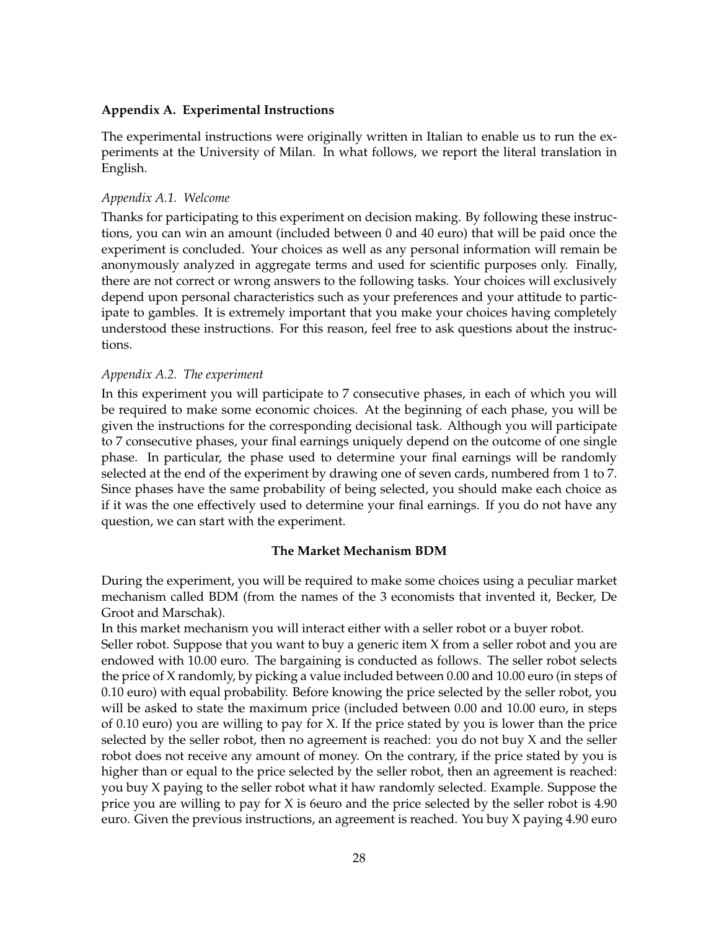#### **Appendix A. Experimental Instructions**

The experimental instructions were originally written in Italian to enable us to run the experiments at the University of Milan. In what follows, we report the literal translation in English.

#### *Appendix A.1. Welcome*

Thanks for participating to this experiment on decision making. By following these instructions, you can win an amount (included between 0 and 40 euro) that will be paid once the experiment is concluded. Your choices as well as any personal information will remain be anonymously analyzed in aggregate terms and used for scientific purposes only. Finally, there are not correct or wrong answers to the following tasks. Your choices will exclusively depend upon personal characteristics such as your preferences and your attitude to participate to gambles. It is extremely important that you make your choices having completely understood these instructions. For this reason, feel free to ask questions about the instructions.

#### *Appendix A.2. The experiment*

In this experiment you will participate to 7 consecutive phases, in each of which you will be required to make some economic choices. At the beginning of each phase, you will be given the instructions for the corresponding decisional task. Although you will participate to 7 consecutive phases, your final earnings uniquely depend on the outcome of one single phase. In particular, the phase used to determine your final earnings will be randomly selected at the end of the experiment by drawing one of seven cards, numbered from 1 to 7. Since phases have the same probability of being selected, you should make each choice as if it was the one effectively used to determine your final earnings. If you do not have any question, we can start with the experiment.

#### **The Market Mechanism BDM**

During the experiment, you will be required to make some choices using a peculiar market mechanism called BDM (from the names of the 3 economists that invented it, Becker, De Groot and Marschak).

In this market mechanism you will interact either with a seller robot or a buyer robot.

Seller robot. Suppose that you want to buy a generic item X from a seller robot and you are endowed with 10.00 euro. The bargaining is conducted as follows. The seller robot selects the price of X randomly, by picking a value included between 0.00 and 10.00 euro (in steps of 0.10 euro) with equal probability. Before knowing the price selected by the seller robot, you will be asked to state the maximum price (included between 0.00 and 10.00 euro, in steps of 0.10 euro) you are willing to pay for X. If the price stated by you is lower than the price selected by the seller robot, then no agreement is reached: you do not buy X and the seller robot does not receive any amount of money. On the contrary, if the price stated by you is higher than or equal to the price selected by the seller robot, then an agreement is reached: you buy X paying to the seller robot what it haw randomly selected. Example. Suppose the price you are willing to pay for X is 6euro and the price selected by the seller robot is 4.90 euro. Given the previous instructions, an agreement is reached. You buy X paying 4.90 euro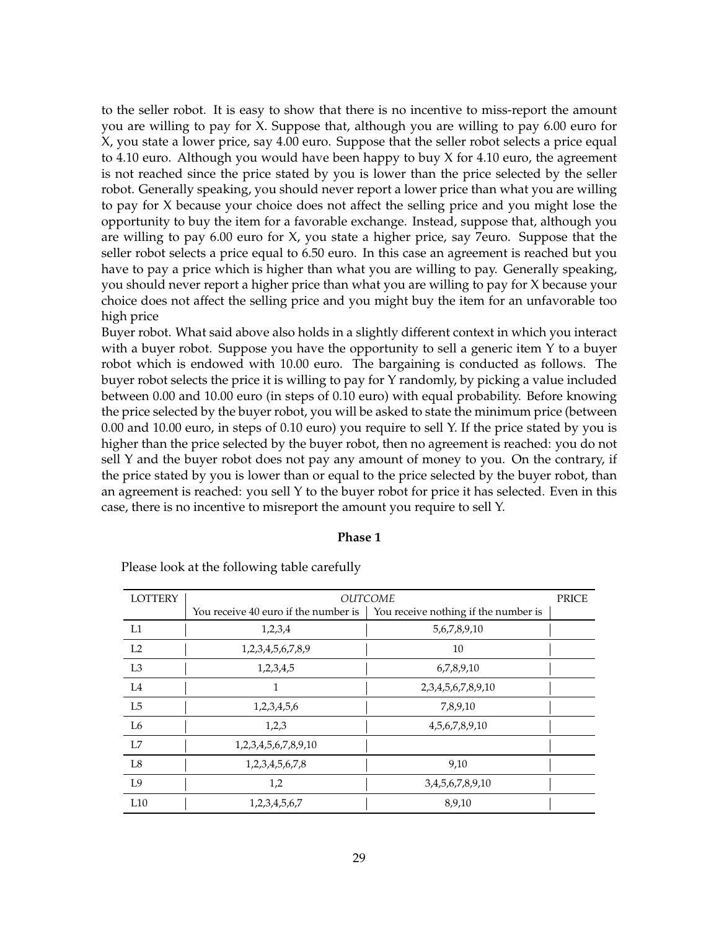to the seller robot. It is easy to show that there is no incentive to miss-report the amount you are willing to pay for X. Suppose that, although you are willing to pay 6.00 euro for X, you state a lower price, say 4.00 euro. Suppose that the seller robot selects a price equal to 4.10 euro. Although you would have been happy to buy X for 4.10 euro, the agreement is not reached since the price stated by you is lower than the price selected by the seller robot. Generally speaking, you should never report a lower price than what you are willing to pay for X because your choice does not affect the selling price and you might lose the opportunity to buy the item for a favorable exchange. Instead, suppose that, although you are willing to pay 6.00 euro for X, you state a higher price, say 7euro. Suppose that the seller robot selects a price equal to 6.50 euro. In this case an agreement is reached but you have to pay a price which is higher than what you are willing to pay. Generally speaking, you should never report a higher price than what you are willing to pay for X because your choice does not affect the selling price and you might buy the item for an unfavorable too high price

Buyer robot. What said above also holds in a slightly different context in which you interact with a buyer robot. Suppose you have the opportunity to sell a generic item Y to a buyer robot which is endowed with 10.00 euro. The bargaining is conducted as follows. The buyer robot selects the price it is willing to pay for Y randomly, by picking a value included between 0.00 and 10.00 euro (in steps of 0.10 euro) with equal probability. Before knowing the price selected by the buyer robot, you will be asked to state the minimum price (between 0.00 and 10.00 euro, in steps of 0.10 euro) you require to sell Y. If the price stated by you is higher than the price selected by the buyer robot, then no agreement is reached: you do not sell Y and the buyer robot does not pay any amount of money to you. On the contrary, if the price stated by you is lower than or equal to the price selected by the buyer robot, than an agreement is reached: you sell Y to the buyer robot for price it has selected. Even in this case, there is no incentive to misreport the amount you require to sell Y.

#### **Phase 1**

| <b>LOTTERY</b> |                                      | <b>OUTCOME</b>                       | PRICE |
|----------------|--------------------------------------|--------------------------------------|-------|
|                | You receive 40 euro if the number is | You receive nothing if the number is |       |
| L1             | 1,2,3,4                              | 5,6,7,8,9,10                         |       |
| L <sub>2</sub> | 1,2,3,4,5,6,7,8,9                    | 10                                   |       |
| L <sub>3</sub> | 1,2,3,4,5                            | 6,7,8,9,10                           |       |
| L4             | 1                                    | 2, 3, 4, 5, 6, 7, 8, 9, 10           |       |
| L5             | 1,2,3,4,5,6                          | 7,8,9,10                             |       |
| L <sub>6</sub> | 1,2,3                                | 4, 5, 6, 7, 8, 9, 10                 |       |
| L7             | 1,2,3,4,5,6,7,8,9,10                 |                                      |       |
| L8             | 1,2,3,4,5,6,7,8                      | 9,10                                 |       |
| L9             | 1,2                                  | 3,4,5,6,7,8,9,10                     |       |
| L10            | 1,2,3,4,5,6,7                        | 8,9,10                               |       |

Please look at the following table carefully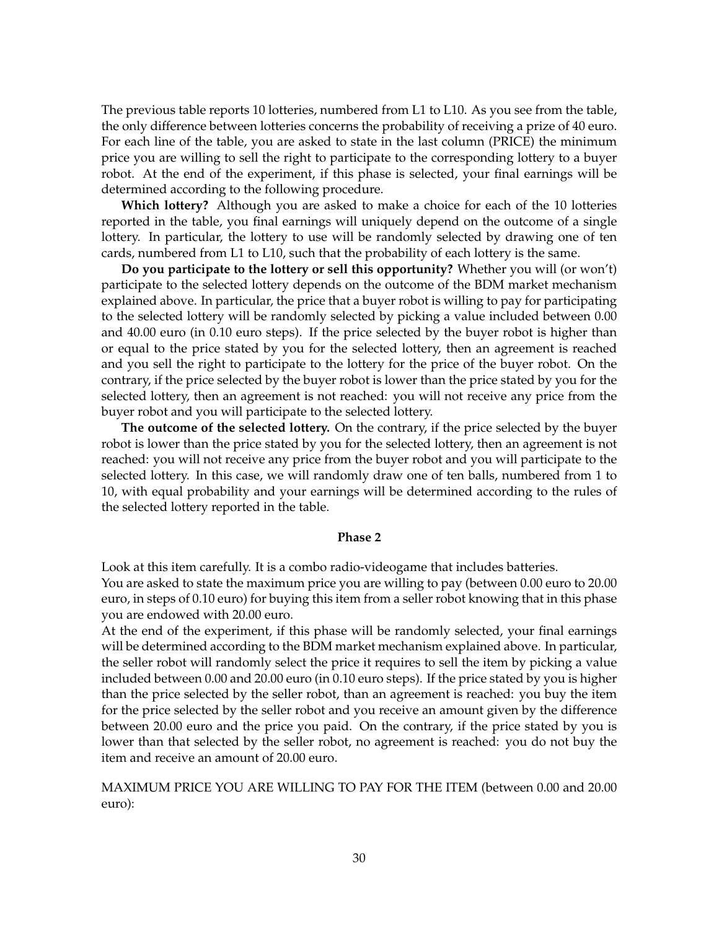The previous table reports 10 lotteries, numbered from L1 to L10. As you see from the table, the only difference between lotteries concerns the probability of receiving a prize of 40 euro. For each line of the table, you are asked to state in the last column (PRICE) the minimum price you are willing to sell the right to participate to the corresponding lottery to a buyer robot. At the end of the experiment, if this phase is selected, your final earnings will be determined according to the following procedure.

**Which lottery?** Although you are asked to make a choice for each of the 10 lotteries reported in the table, you final earnings will uniquely depend on the outcome of a single lottery. In particular, the lottery to use will be randomly selected by drawing one of ten cards, numbered from L1 to L10, such that the probability of each lottery is the same.

**Do you participate to the lottery or sell this opportunity?** Whether you will (or won't) participate to the selected lottery depends on the outcome of the BDM market mechanism explained above. In particular, the price that a buyer robot is willing to pay for participating to the selected lottery will be randomly selected by picking a value included between 0.00 and 40.00 euro (in 0.10 euro steps). If the price selected by the buyer robot is higher than or equal to the price stated by you for the selected lottery, then an agreement is reached and you sell the right to participate to the lottery for the price of the buyer robot. On the contrary, if the price selected by the buyer robot is lower than the price stated by you for the selected lottery, then an agreement is not reached: you will not receive any price from the buyer robot and you will participate to the selected lottery.

**The outcome of the selected lottery.** On the contrary, if the price selected by the buyer robot is lower than the price stated by you for the selected lottery, then an agreement is not reached: you will not receive any price from the buyer robot and you will participate to the selected lottery. In this case, we will randomly draw one of ten balls, numbered from 1 to 10, with equal probability and your earnings will be determined according to the rules of the selected lottery reported in the table.

#### **Phase 2**

Look at this item carefully. It is a combo radio-videogame that includes batteries. You are asked to state the maximum price you are willing to pay (between 0.00 euro to 20.00 euro, in steps of 0.10 euro) for buying this item from a seller robot knowing that in this phase

you are endowed with 20.00 euro.

At the end of the experiment, if this phase will be randomly selected, your final earnings will be determined according to the BDM market mechanism explained above. In particular, the seller robot will randomly select the price it requires to sell the item by picking a value included between 0.00 and 20.00 euro (in 0.10 euro steps). If the price stated by you is higher than the price selected by the seller robot, than an agreement is reached: you buy the item for the price selected by the seller robot and you receive an amount given by the difference between 20.00 euro and the price you paid. On the contrary, if the price stated by you is lower than that selected by the seller robot, no agreement is reached: you do not buy the item and receive an amount of 20.00 euro.

MAXIMUM PRICE YOU ARE WILLING TO PAY FOR THE ITEM (between 0.00 and 20.00 euro):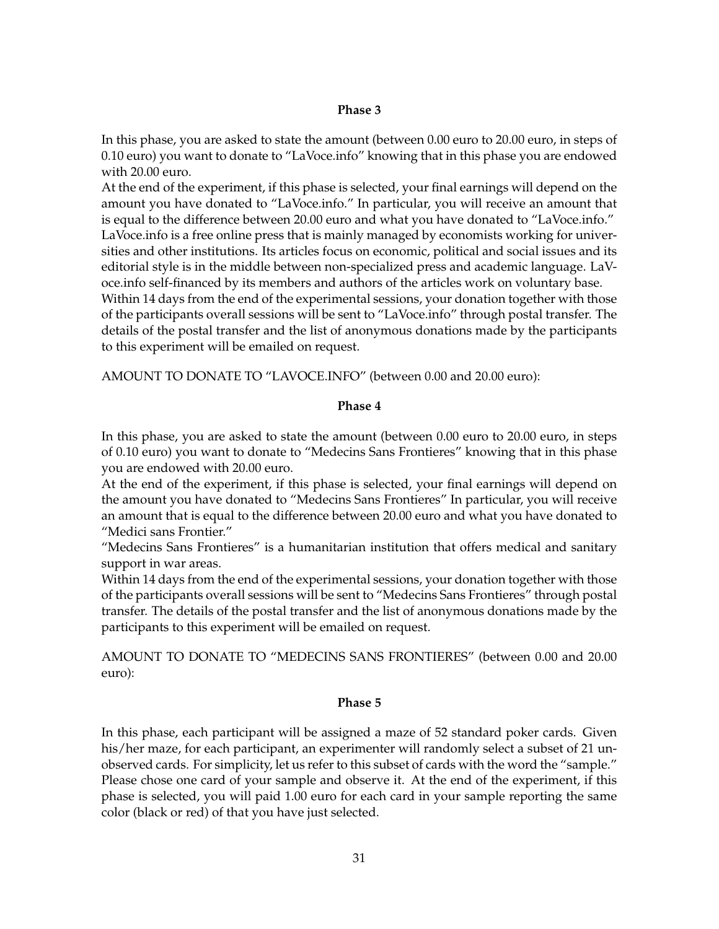#### **Phase 3**

In this phase, you are asked to state the amount (between 0.00 euro to 20.00 euro, in steps of 0.10 euro) you want to donate to "LaVoce.info" knowing that in this phase you are endowed with 20.00 euro.

At the end of the experiment, if this phase is selected, your final earnings will depend on the amount you have donated to "LaVoce.info." In particular, you will receive an amount that is equal to the difference between 20.00 euro and what you have donated to "LaVoce.info." LaVoce.info is a free online press that is mainly managed by economists working for universities and other institutions. Its articles focus on economic, political and social issues and its editorial style is in the middle between non-specialized press and academic language. LaVoce.info self-financed by its members and authors of the articles work on voluntary base. Within 14 days from the end of the experimental sessions, your donation together with those of the participants overall sessions will be sent to "LaVoce.info" through postal transfer. The details of the postal transfer and the list of anonymous donations made by the participants to this experiment will be emailed on request.

AMOUNT TO DONATE TO "LAVOCE.INFO" (between 0.00 and 20.00 euro):

#### **Phase 4**

In this phase, you are asked to state the amount (between 0.00 euro to 20.00 euro, in steps of 0.10 euro) you want to donate to "Medecins Sans Frontieres" knowing that in this phase you are endowed with 20.00 euro.

At the end of the experiment, if this phase is selected, your final earnings will depend on the amount you have donated to "Medecins Sans Frontieres" In particular, you will receive an amount that is equal to the difference between 20.00 euro and what you have donated to "Medici sans Frontier."

"Medecins Sans Frontieres" is a humanitarian institution that offers medical and sanitary support in war areas.

Within 14 days from the end of the experimental sessions, your donation together with those of the participants overall sessions will be sent to "Medecins Sans Frontieres" through postal transfer. The details of the postal transfer and the list of anonymous donations made by the participants to this experiment will be emailed on request.

AMOUNT TO DONATE TO "MEDECINS SANS FRONTIERES" (between 0.00 and 20.00 euro):

#### **Phase 5**

In this phase, each participant will be assigned a maze of 52 standard poker cards. Given his/her maze, for each participant, an experimenter will randomly select a subset of 21 unobserved cards. For simplicity, let us refer to this subset of cards with the word the "sample." Please chose one card of your sample and observe it. At the end of the experiment, if this phase is selected, you will paid 1.00 euro for each card in your sample reporting the same color (black or red) of that you have just selected.